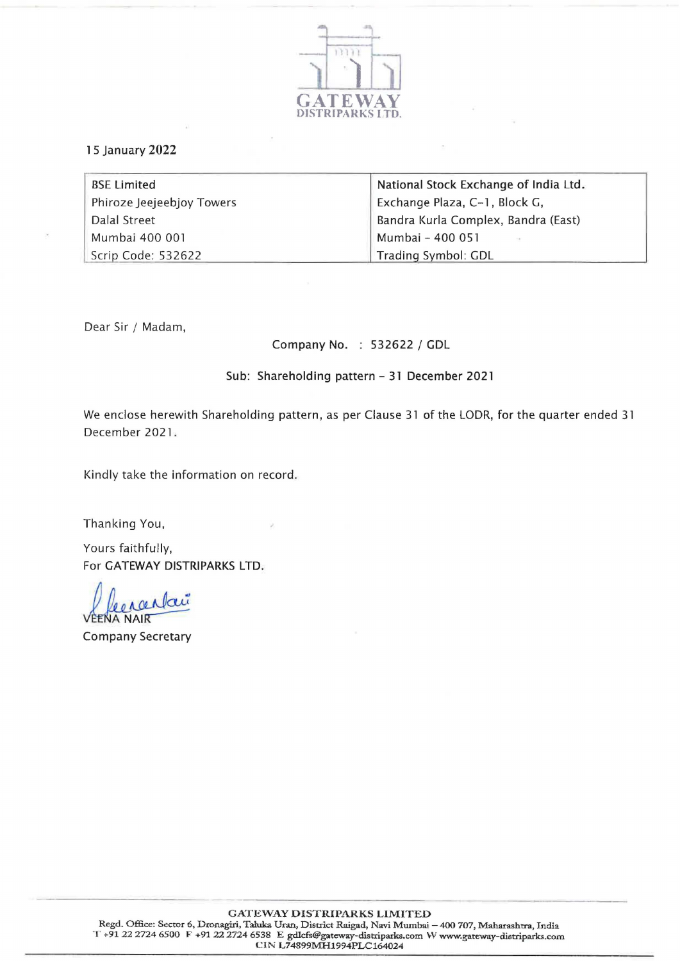

## 1 5 January 2022

| <b>BSE Limited</b>        | National Stock Exchange of India Ltd. |
|---------------------------|---------------------------------------|
| Phiroze Jeejeebjoy Towers | Exchange Plaza, C-1, Block G,         |
| Dalal Street              | Bandra Kurla Complex, Bandra (East)   |
| Mumbai 400 001            | Mumbai - 400 051                      |
| Scrip Code: 532622        | Trading Symbol: GDL                   |

Dear Sir / Madam,

Company No. : 532622 / GDL

Sub: Shareholding pattern - 31 December 2021

We enclose herewith Shareholding pattern, as per Clause 31 of the LODR, for the quarter ended 31 December 2021.

Kindly take the information on record.

Thanking You,

Yours faithfully, For GATEWAY DISTRIPARKS LTD.

Decrantaire **COMPANY**<br> **VEENA NAIR**<br> **Company Secretary**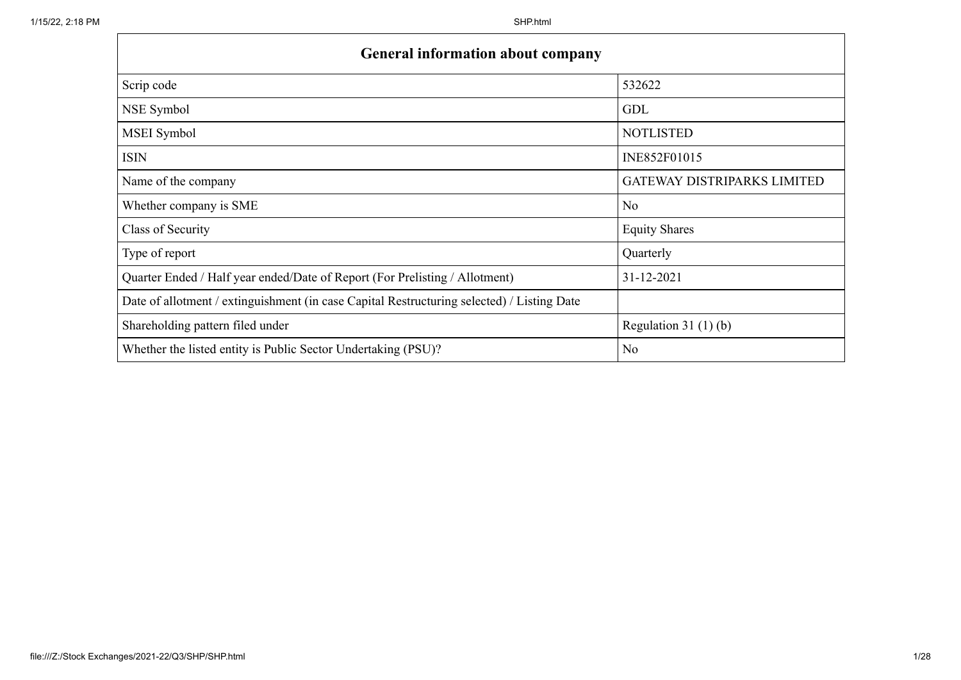$\mathbf{r}$ 

| <b>General information about company</b>                                                   |                                    |
|--------------------------------------------------------------------------------------------|------------------------------------|
| Scrip code                                                                                 | 532622                             |
| NSE Symbol                                                                                 | <b>GDL</b>                         |
| MSEI Symbol                                                                                | <b>NOTLISTED</b>                   |
| <b>ISIN</b>                                                                                | INE852F01015                       |
| Name of the company                                                                        | <b>GATEWAY DISTRIPARKS LIMITED</b> |
| Whether company is SME                                                                     | N <sub>o</sub>                     |
| Class of Security                                                                          | <b>Equity Shares</b>               |
| Type of report                                                                             | Quarterly                          |
| Quarter Ended / Half year ended/Date of Report (For Prelisting / Allotment)                | 31-12-2021                         |
| Date of allotment / extinguishment (in case Capital Restructuring selected) / Listing Date |                                    |
| Shareholding pattern filed under                                                           | Regulation $31(1)(b)$              |
| Whether the listed entity is Public Sector Undertaking (PSU)?                              | N <sub>o</sub>                     |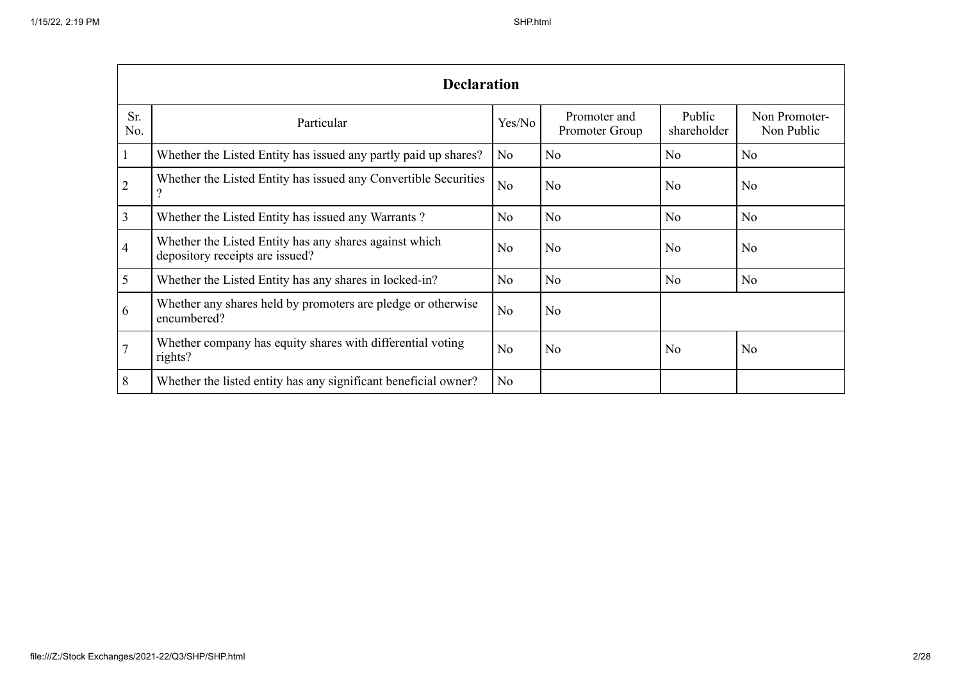|                | <b>Declaration</b>                                                                        |                |                                |                       |                             |  |  |  |  |  |  |
|----------------|-------------------------------------------------------------------------------------------|----------------|--------------------------------|-----------------------|-----------------------------|--|--|--|--|--|--|
| Sr.<br>No.     | Particular                                                                                | Yes/No         | Promoter and<br>Promoter Group | Public<br>shareholder | Non Promoter-<br>Non Public |  |  |  |  |  |  |
| -1             | Whether the Listed Entity has issued any partly paid up shares?                           | No             | N <sub>o</sub>                 | N <sub>o</sub>        | N <sub>o</sub>              |  |  |  |  |  |  |
| $\overline{2}$ | Whether the Listed Entity has issued any Convertible Securities                           | No             | N <sub>o</sub>                 | N <sub>o</sub>        | N <sub>o</sub>              |  |  |  |  |  |  |
| 3              | Whether the Listed Entity has issued any Warrants?                                        | No             | N <sub>o</sub>                 | N <sub>o</sub>        | N <sub>o</sub>              |  |  |  |  |  |  |
| $\overline{4}$ | Whether the Listed Entity has any shares against which<br>depository receipts are issued? | N <sub>o</sub> | N <sub>o</sub>                 | N <sub>o</sub>        | N <sub>o</sub>              |  |  |  |  |  |  |
| 5              | Whether the Listed Entity has any shares in locked-in?                                    | No             | N <sub>o</sub>                 | N <sub>o</sub>        | N <sub>o</sub>              |  |  |  |  |  |  |
| 6              | Whether any shares held by promoters are pledge or otherwise<br>encumbered?               | No             | N <sub>o</sub>                 |                       |                             |  |  |  |  |  |  |
|                | Whether company has equity shares with differential voting<br>rights?                     | N <sub>o</sub> | N <sub>o</sub>                 | N <sub>o</sub>        | No                          |  |  |  |  |  |  |
| 8              | Whether the listed entity has any significant beneficial owner?                           | No             |                                |                       |                             |  |  |  |  |  |  |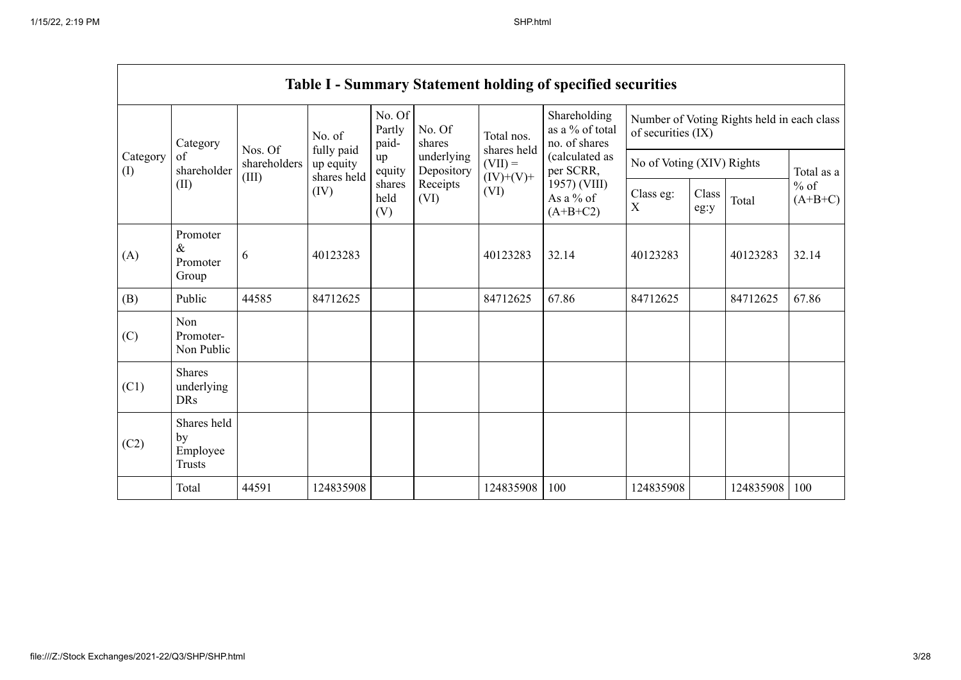$\blacksquare$ 

|                 |                                                |                                  |                                        |                           |                                                                                       |                           | <b>Table I - Summary Statement holding of specified securities</b>              |                                                                  |               |           |                     |
|-----------------|------------------------------------------------|----------------------------------|----------------------------------------|---------------------------|---------------------------------------------------------------------------------------|---------------------------|---------------------------------------------------------------------------------|------------------------------------------------------------------|---------------|-----------|---------------------|
|                 | Category                                       |                                  | No. of                                 | No. Of<br>Partly<br>paid- | No. Of<br>shares                                                                      | Total nos.<br>shares held | Shareholding<br>as a % of total<br>no. of shares<br>(calculated as<br>per SCRR, | Number of Voting Rights held in each class<br>of securities (IX) |               |           |                     |
| Category<br>(I) | of<br>shareholder                              | Nos. Of<br>shareholders<br>(III) | fully paid<br>up equity<br>shares held | up<br>equity              | underlying<br>Depository                                                              | $(VII) =$                 |                                                                                 | No of Voting (XIV) Rights                                        |               |           | Total as a          |
|                 | (II)                                           |                                  | (IV)                                   | shares<br>held<br>(V)     | 1957) (VIII)<br>Receipts<br>(VI)<br>Class eg:<br>As a % of<br>(VI)<br>X<br>$(A+B+C2)$ |                           | $(IV)+(V)+$                                                                     |                                                                  | Class<br>eg:y | Total     | $%$ of<br>$(A+B+C)$ |
| (A)             | Promoter<br>$\&$<br>Promoter<br>Group          | 6                                | 40123283                               |                           |                                                                                       | 40123283                  | 32.14                                                                           | 40123283                                                         |               | 40123283  | 32.14               |
| (B)             | Public                                         | 44585                            | 84712625                               |                           |                                                                                       | 84712625                  | 67.86                                                                           | 84712625                                                         |               | 84712625  | 67.86               |
| (C)             | Non<br>Promoter-<br>Non Public                 |                                  |                                        |                           |                                                                                       |                           |                                                                                 |                                                                  |               |           |                     |
| (C1)            | <b>Shares</b><br>underlying<br><b>DRs</b>      |                                  |                                        |                           |                                                                                       |                           |                                                                                 |                                                                  |               |           |                     |
| (C2)            | Shares held<br>by<br>Employee<br><b>Trusts</b> |                                  |                                        |                           |                                                                                       |                           |                                                                                 |                                                                  |               |           |                     |
|                 | Total                                          | 44591                            | 124835908                              |                           |                                                                                       | 124835908                 | 100                                                                             | 124835908                                                        |               | 124835908 | 100                 |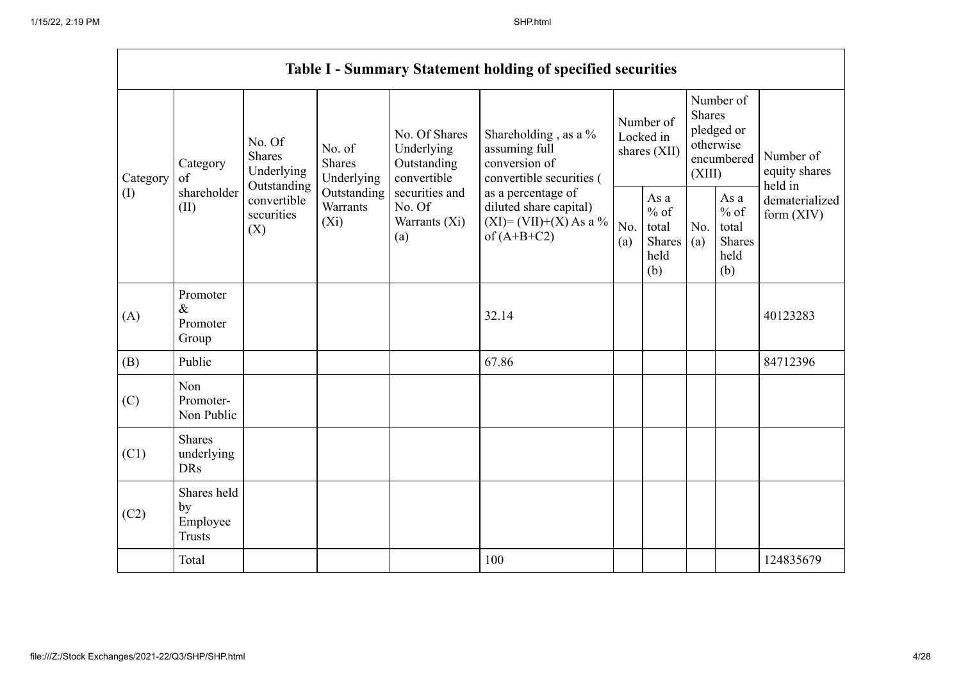$\mathbf{r}$ 

|          |                                                |                                                                                               |                                                           |                                                                                        | <b>Table I - Summary Statement holding of specified securities</b>                         |            |                                                                               |            |                                                         |                                |
|----------|------------------------------------------------|-----------------------------------------------------------------------------------------------|-----------------------------------------------------------|----------------------------------------------------------------------------------------|--------------------------------------------------------------------------------------------|------------|-------------------------------------------------------------------------------|------------|---------------------------------------------------------|--------------------------------|
| Category | Category<br>of                                 | No. Of<br>No. of<br><b>Shares</b><br><b>Shares</b><br>Underlying<br>Underlying<br>Outstanding | No. Of Shares<br>Underlying<br>Outstanding<br>convertible | Shareholding , as a $\%$<br>assuming full<br>conversion of<br>convertible securities ( | Number of<br>Locked in<br>shares (XII)                                                     |            | Number of<br><b>Shares</b><br>pledged or<br>otherwise<br>encumbered<br>(XIII) |            | Number of<br>equity shares<br>held in                   |                                |
| (I)      | shareholder<br>(II)                            | convertible<br>securities<br>(X)                                                              | Outstanding<br>Warrants<br>$(X_i)$                        | securities and<br>No. Of<br>Warrants (Xi)<br>(a)                                       | as a percentage of<br>diluted share capital)<br>$(XI) = (VII)+(X) As a %$<br>of $(A+B+C2)$ | No.<br>(a) | As a<br>$%$ of<br>total<br>Shares<br>held<br>(b)                              | No.<br>(a) | As a<br>$%$ of<br>total<br><b>Shares</b><br>held<br>(b) | dematerialized<br>form $(XIV)$ |
| (A)      | Promoter<br>$\&$<br>Promoter<br>Group          |                                                                                               |                                                           |                                                                                        | 32.14                                                                                      |            |                                                                               |            |                                                         | 40123283                       |
| (B)      | Public                                         |                                                                                               |                                                           |                                                                                        | 67.86                                                                                      |            |                                                                               |            |                                                         | 84712396                       |
| (C)      | Non<br>Promoter-<br>Non Public                 |                                                                                               |                                                           |                                                                                        |                                                                                            |            |                                                                               |            |                                                         |                                |
| (C1)     | <b>Shares</b><br>underlying<br><b>DRs</b>      |                                                                                               |                                                           |                                                                                        |                                                                                            |            |                                                                               |            |                                                         |                                |
| (C2)     | Shares held<br>by<br>Employee<br><b>Trusts</b> |                                                                                               |                                                           |                                                                                        |                                                                                            |            |                                                                               |            |                                                         |                                |
|          | Total                                          |                                                                                               |                                                           |                                                                                        | 100                                                                                        |            |                                                                               |            |                                                         | 124835679                      |

 $\overline{\phantom{0}}$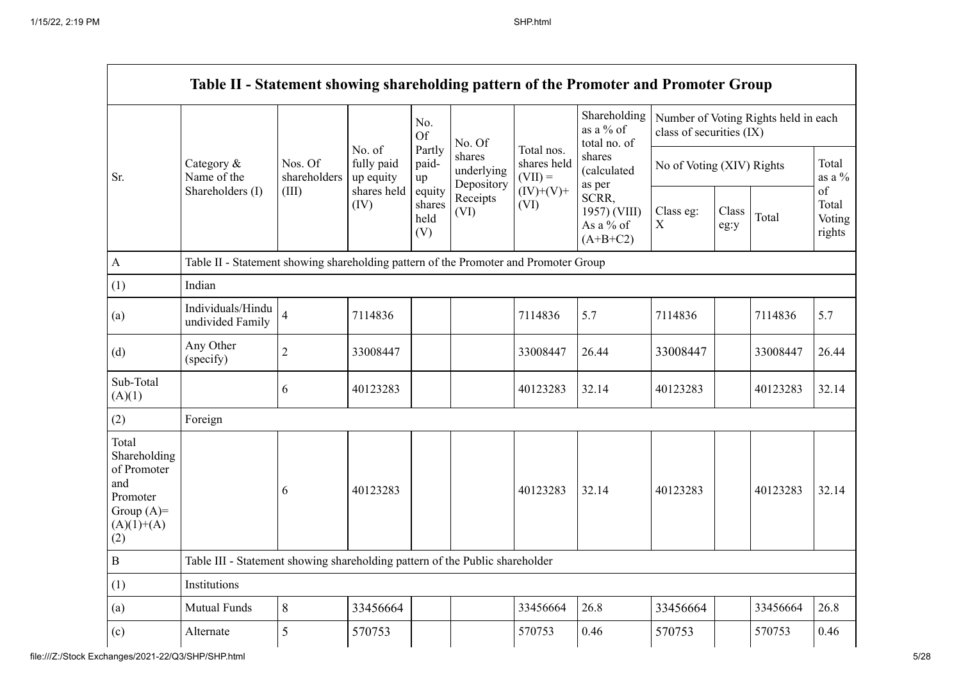|                                                                                                | Table II - Statement showing shareholding pattern of the Promoter and Promoter Group |                         |                                   |                       |                                    |                                        |                                                                 |                          |               |                                      |                                 |
|------------------------------------------------------------------------------------------------|--------------------------------------------------------------------------------------|-------------------------|-----------------------------------|-----------------------|------------------------------------|----------------------------------------|-----------------------------------------------------------------|--------------------------|---------------|--------------------------------------|---------------------------------|
|                                                                                                |                                                                                      |                         |                                   | No.<br><b>Of</b>      | No. Of                             |                                        | Shareholding<br>as a $%$ of<br>total no. of                     | class of securities (IX) |               | Number of Voting Rights held in each |                                 |
| Sr.                                                                                            | Category &<br>Name of the                                                            | Nos. Of<br>shareholders | No. of<br>fully paid<br>up equity | Partly<br>paid-<br>up | shares<br>underlying<br>Depository | Total nos.<br>shares held<br>$(VII) =$ | shares<br>(calculated<br>as per                                 |                          |               | No of Voting (XIV) Rights            |                                 |
|                                                                                                | Shareholders (I)                                                                     | (III)                   | shares held<br>(IV)               | shares<br>held<br>(V) | equity<br>Receipts<br>(VI)         | (VI)                                   | $(IV)+(V)+$<br>SCRR,<br>1957) (VIII)<br>As a % of<br>$(A+B+C2)$ | Class eg:<br>$\mathbf X$ | Class<br>eg:y | Total                                | of<br>Total<br>Voting<br>rights |
| $\mathbf{A}$                                                                                   | Table II - Statement showing shareholding pattern of the Promoter and Promoter Group |                         |                                   |                       |                                    |                                        |                                                                 |                          |               |                                      |                                 |
| (1)                                                                                            | Indian                                                                               |                         |                                   |                       |                                    |                                        |                                                                 |                          |               |                                      |                                 |
| (a)                                                                                            | Individuals/Hindu<br>undivided Family                                                | $\overline{4}$          | 7114836                           |                       |                                    | 7114836                                | 5.7                                                             | 7114836                  |               | 7114836                              | 5.7                             |
| (d)                                                                                            | Any Other<br>(specify)                                                               | $\overline{c}$          | 33008447                          |                       |                                    | 33008447                               | 26.44                                                           | 33008447                 |               | 33008447                             | 26.44                           |
| Sub-Total<br>(A)(1)                                                                            |                                                                                      | 6                       | 40123283                          |                       |                                    | 40123283                               | 32.14                                                           | 40123283                 |               | 40123283                             | 32.14                           |
| (2)                                                                                            | Foreign                                                                              |                         |                                   |                       |                                    |                                        |                                                                 |                          |               |                                      |                                 |
| Total<br>Shareholding<br>of Promoter<br>and<br>Promoter<br>Group $(A)=$<br>$(A)(1)+(A)$<br>(2) |                                                                                      | 6                       | 40123283                          |                       |                                    | 40123283                               | 32.14                                                           | 40123283                 |               | 40123283                             | 32.14                           |
| $\, {\bf B}$                                                                                   | Table III - Statement showing shareholding pattern of the Public shareholder         |                         |                                   |                       |                                    |                                        |                                                                 |                          |               |                                      |                                 |
| (1)                                                                                            | Institutions                                                                         |                         |                                   |                       |                                    |                                        |                                                                 |                          |               |                                      |                                 |
| (a)                                                                                            | <b>Mutual Funds</b>                                                                  | 8                       | 33456664                          |                       |                                    | 33456664                               | 26.8                                                            | 33456664                 |               | 33456664                             | 26.8                            |
| (c)                                                                                            | Alternate                                                                            | 5                       | 570753                            |                       |                                    | 570753                                 | 0.46                                                            | 570753                   |               | 570753                               | 0.46                            |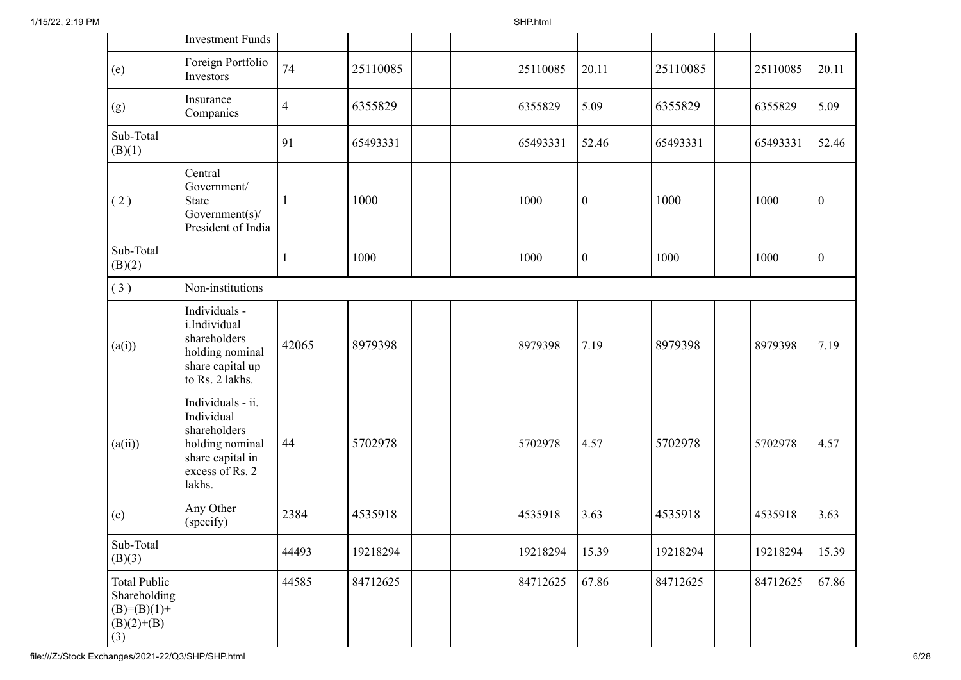|                                                                               | <b>Investment Funds</b>                                                                                             |                |          |          |                  |          |          |                  |
|-------------------------------------------------------------------------------|---------------------------------------------------------------------------------------------------------------------|----------------|----------|----------|------------------|----------|----------|------------------|
| (e)                                                                           | Foreign Portfolio<br>Investors                                                                                      | 74             | 25110085 | 25110085 | 20.11            | 25110085 | 25110085 | 20.11            |
| (g)                                                                           | Insurance<br>Companies                                                                                              | $\overline{4}$ | 6355829  | 6355829  | 5.09             | 6355829  | 6355829  | 5.09             |
| Sub-Total<br>(B)(1)                                                           |                                                                                                                     | 91             | 65493331 | 65493331 | 52.46            | 65493331 | 65493331 | 52.46            |
| (2)                                                                           | Central<br>Government/<br>State<br>Government $(s)$ /<br>President of India                                         | $\mathbf{1}$   | 1000     | 1000     | $\boldsymbol{0}$ | 1000     | 1000     | $\mathbf{0}$     |
| Sub-Total<br>(B)(2)                                                           |                                                                                                                     |                | 1000     | 1000     | $\boldsymbol{0}$ | 1000     | 1000     | $\boldsymbol{0}$ |
| (3)                                                                           | Non-institutions                                                                                                    |                |          |          |                  |          |          |                  |
| (a(i))                                                                        | Individuals -<br>i.Individual<br>shareholders<br>holding nominal<br>share capital up<br>to Rs. 2 lakhs.             | 42065          | 8979398  | 8979398  | 7.19             | 8979398  | 8979398  | 7.19             |
| (a(ii))                                                                       | Individuals - ii.<br>Individual<br>shareholders<br>holding nominal<br>share capital in<br>excess of Rs. 2<br>lakhs. | 44             | 5702978  | 5702978  | 4.57             | 5702978  | 5702978  | 4.57             |
| (e)                                                                           | Any Other<br>(specify)                                                                                              | 2384           | 4535918  | 4535918  | 3.63             | 4535918  | 4535918  | 3.63             |
| Sub-Total<br>(B)(3)                                                           |                                                                                                                     | 44493          | 19218294 | 19218294 | 15.39            | 19218294 | 19218294 | 15.39            |
| <b>Total Public</b><br>Shareholding<br>$(B)= (B)(1) +$<br>$(B)(2)+(B)$<br>(3) |                                                                                                                     | 44585          | 84712625 | 84712625 | 67.86            | 84712625 | 84712625 | 67.86            |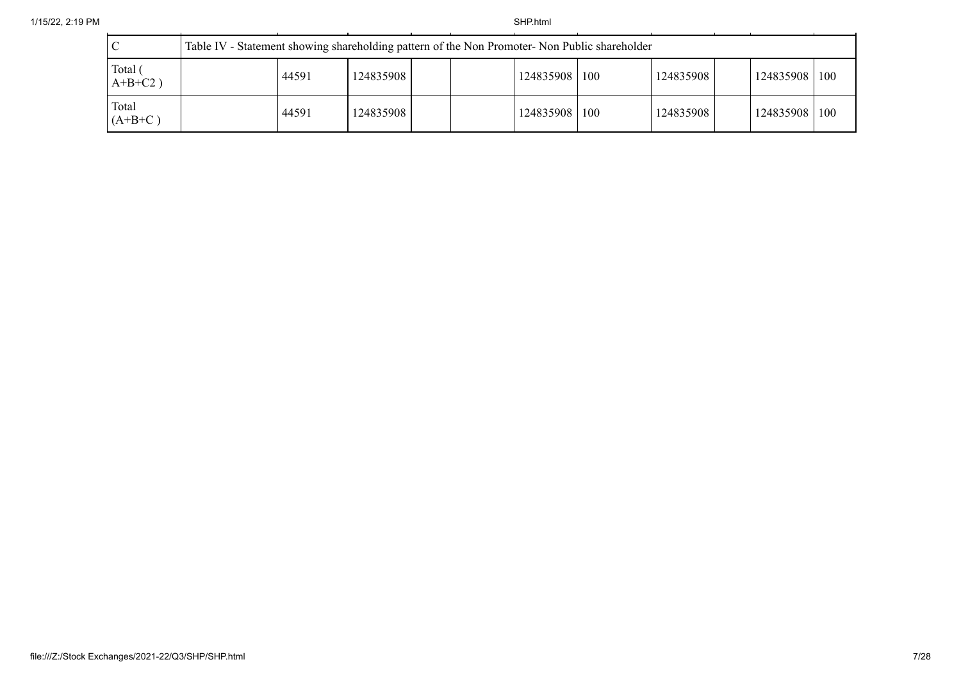|                       | Table IV - Statement showing shareholding pattern of the Non Promoter- Non Public shareholder |           |  |  |               |  |           |  |               |  |
|-----------------------|-----------------------------------------------------------------------------------------------|-----------|--|--|---------------|--|-----------|--|---------------|--|
| Total (<br>$A+B+C2$ ) | 44591                                                                                         | 124835908 |  |  | 124835908 100 |  | 124835908 |  | 124835908 100 |  |
| Total<br>$(A+B+C)$    | 44591                                                                                         | 124835908 |  |  | 124835908 100 |  | 124835908 |  | 124835908 100 |  |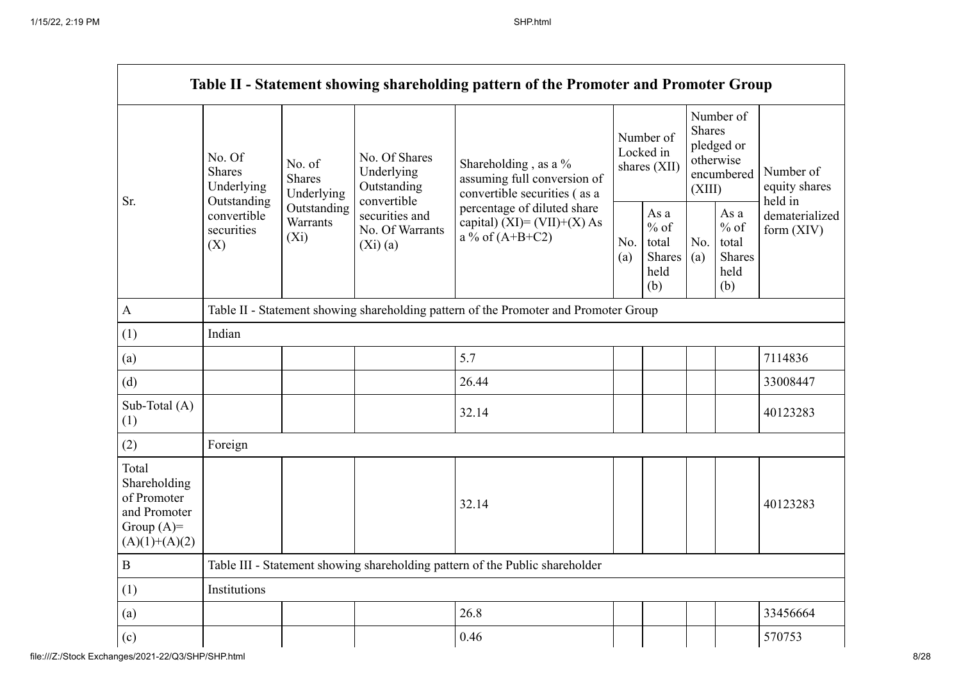|                                                                                         |                                                                              |                                    |                                                           | Table II - Statement showing shareholding pattern of the Promoter and Promoter Group    |            |                                                  |                                                                               |                                                  |                                       |
|-----------------------------------------------------------------------------------------|------------------------------------------------------------------------------|------------------------------------|-----------------------------------------------------------|-----------------------------------------------------------------------------------------|------------|--------------------------------------------------|-------------------------------------------------------------------------------|--------------------------------------------------|---------------------------------------|
| Sr.                                                                                     | No. Of<br><b>Shares</b><br>Underlying<br>Outstanding                         | No. of<br>Shares<br>Underlying     | No. Of Shares<br>Underlying<br>Outstanding<br>convertible | Shareholding , as a $\%$<br>assuming full conversion of<br>convertible securities (as a |            | Number of<br>Locked in<br>shares (XII)           | Number of<br><b>Shares</b><br>pledged or<br>otherwise<br>encumbered<br>(XIII) |                                                  | Number of<br>equity shares<br>held in |
|                                                                                         | convertible<br>securities<br>(X)                                             | Outstanding<br>Warrants<br>$(X_i)$ | securities and<br>No. Of Warrants<br>(Xi)(a)              | percentage of diluted share<br>capital) $(XI) = (VII)+(X) As$<br>a % of $(A+B+C2)$      | No.<br>(a) | As a<br>$%$ of<br>total<br>Shares<br>held<br>(b) | No.<br>(a)                                                                    | As a<br>$%$ of<br>total<br>Shares<br>held<br>(b) | dematerialized<br>form (XIV)          |
| $\mathbf{A}$                                                                            |                                                                              |                                    |                                                           | Table II - Statement showing shareholding pattern of the Promoter and Promoter Group    |            |                                                  |                                                                               |                                                  |                                       |
| (1)                                                                                     | Indian                                                                       |                                    |                                                           |                                                                                         |            |                                                  |                                                                               |                                                  |                                       |
| (a)                                                                                     |                                                                              |                                    |                                                           | 5.7                                                                                     |            |                                                  |                                                                               |                                                  | 7114836                               |
| (d)                                                                                     |                                                                              |                                    |                                                           | 26.44                                                                                   |            |                                                  |                                                                               |                                                  | 33008447                              |
| Sub-Total (A)<br>(1)                                                                    |                                                                              |                                    |                                                           | 32.14                                                                                   |            |                                                  |                                                                               |                                                  | 40123283                              |
| (2)                                                                                     | Foreign                                                                      |                                    |                                                           |                                                                                         |            |                                                  |                                                                               |                                                  |                                       |
| Total<br>Shareholding<br>of Promoter<br>and Promoter<br>Group $(A)=$<br>$(A)(1)+(A)(2)$ |                                                                              |                                    |                                                           | 32.14                                                                                   |            |                                                  |                                                                               |                                                  | 40123283                              |
| $\, {\bf B}$                                                                            | Table III - Statement showing shareholding pattern of the Public shareholder |                                    |                                                           |                                                                                         |            |                                                  |                                                                               |                                                  |                                       |
| (1)                                                                                     | Institutions                                                                 |                                    |                                                           |                                                                                         |            |                                                  |                                                                               |                                                  |                                       |
| (a)                                                                                     |                                                                              |                                    |                                                           | 26.8                                                                                    |            |                                                  |                                                                               |                                                  | 33456664                              |
| (c)                                                                                     |                                                                              |                                    |                                                           | 0.46                                                                                    |            |                                                  |                                                                               |                                                  | 570753                                |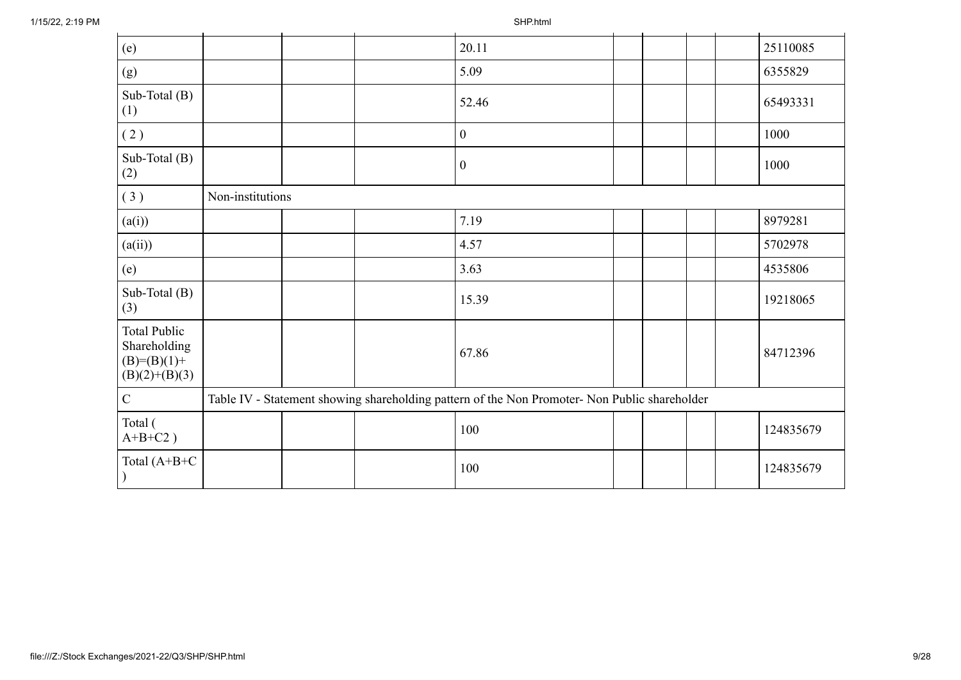| (e)                                                                     |                  |  | 20.11                                                                                         |  |  | 25110085  |
|-------------------------------------------------------------------------|------------------|--|-----------------------------------------------------------------------------------------------|--|--|-----------|
| (g)                                                                     |                  |  | 5.09                                                                                          |  |  | 6355829   |
| Sub-Total $(B)$<br>(1)                                                  |                  |  | 52.46                                                                                         |  |  | 65493331  |
| (2)                                                                     |                  |  | $\boldsymbol{0}$                                                                              |  |  | 1000      |
| Sub-Total (B)<br>(2)                                                    |                  |  | $\boldsymbol{0}$                                                                              |  |  | 1000      |
| (3)                                                                     | Non-institutions |  |                                                                                               |  |  |           |
| (a(i))                                                                  |                  |  | 7.19                                                                                          |  |  | 8979281   |
| (a(ii))                                                                 |                  |  | 4.57                                                                                          |  |  | 5702978   |
| (e)                                                                     |                  |  | 3.63                                                                                          |  |  | 4535806   |
| Sub-Total $(B)$<br>(3)                                                  |                  |  | 15.39                                                                                         |  |  | 19218065  |
| <b>Total Public</b><br>Shareholding<br>$(B)=(B)(1)+$<br>$(B)(2)+(B)(3)$ |                  |  | 67.86                                                                                         |  |  | 84712396  |
| ${\bf C}$                                                               |                  |  | Table IV - Statement showing shareholding pattern of the Non Promoter- Non Public shareholder |  |  |           |
| Total (<br>$A+B+C2$ )                                                   |                  |  | 100                                                                                           |  |  | 124835679 |
| Total $(A+B+C)$                                                         |                  |  | 100                                                                                           |  |  | 124835679 |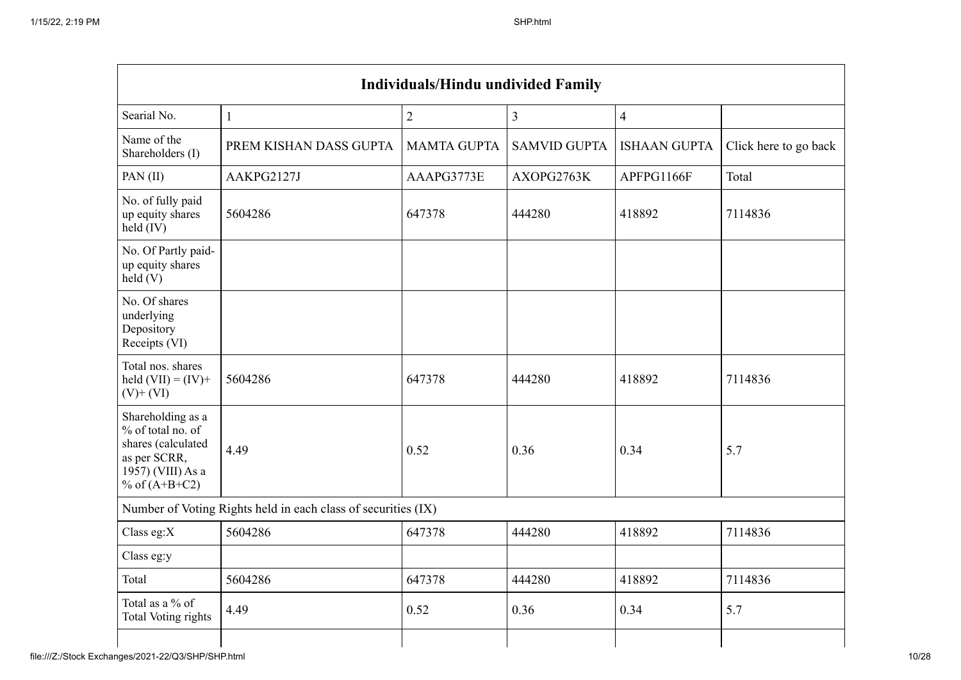| <b>Individuals/Hindu undivided Family</b>                                                                            |                                                               |                    |                     |                     |                       |  |  |  |  |
|----------------------------------------------------------------------------------------------------------------------|---------------------------------------------------------------|--------------------|---------------------|---------------------|-----------------------|--|--|--|--|
| Searial No.                                                                                                          | $\mathbf{1}$                                                  | $\overline{2}$     | $\overline{3}$      | $\overline{4}$      |                       |  |  |  |  |
| Name of the<br>Shareholders (I)                                                                                      | PREM KISHAN DASS GUPTA                                        | <b>MAMTA GUPTA</b> | <b>SAMVID GUPTA</b> | <b>ISHAAN GUPTA</b> | Click here to go back |  |  |  |  |
| PAN(II)                                                                                                              | AAKPG2127J                                                    | AAAPG3773E         | AXOPG2763K          | APFPG1166F          | Total                 |  |  |  |  |
| No. of fully paid<br>up equity shares<br>$held$ (IV)                                                                 | 5604286                                                       | 647378             | 444280              | 418892              | 7114836               |  |  |  |  |
| No. Of Partly paid-<br>up equity shares<br>held(V)                                                                   |                                                               |                    |                     |                     |                       |  |  |  |  |
| No. Of shares<br>underlying<br>Depository<br>Receipts (VI)                                                           |                                                               |                    |                     |                     |                       |  |  |  |  |
| Total nos. shares<br>held $(VII) = (IV) +$<br>$(V)+(VI)$                                                             | 5604286                                                       | 647378             | 444280              | 418892              | 7114836               |  |  |  |  |
| Shareholding as a<br>% of total no. of<br>shares (calculated<br>as per SCRR,<br>1957) (VIII) As a<br>% of $(A+B+C2)$ | 4.49                                                          | 0.52               | 0.36                | 0.34                | 5.7                   |  |  |  |  |
|                                                                                                                      | Number of Voting Rights held in each class of securities (IX) |                    |                     |                     |                       |  |  |  |  |
| Class eg: $X$                                                                                                        | 5604286                                                       | 647378             | 444280              | 418892              | 7114836               |  |  |  |  |
| Class eg:y                                                                                                           |                                                               |                    |                     |                     |                       |  |  |  |  |
| Total                                                                                                                | 5604286                                                       | 647378             | 444280              | 418892              | 7114836               |  |  |  |  |
| Total as a % of<br>Total Voting rights                                                                               | 4.49                                                          | 0.52               | 0.36                | 0.34                | 5.7                   |  |  |  |  |
|                                                                                                                      |                                                               |                    |                     |                     |                       |  |  |  |  |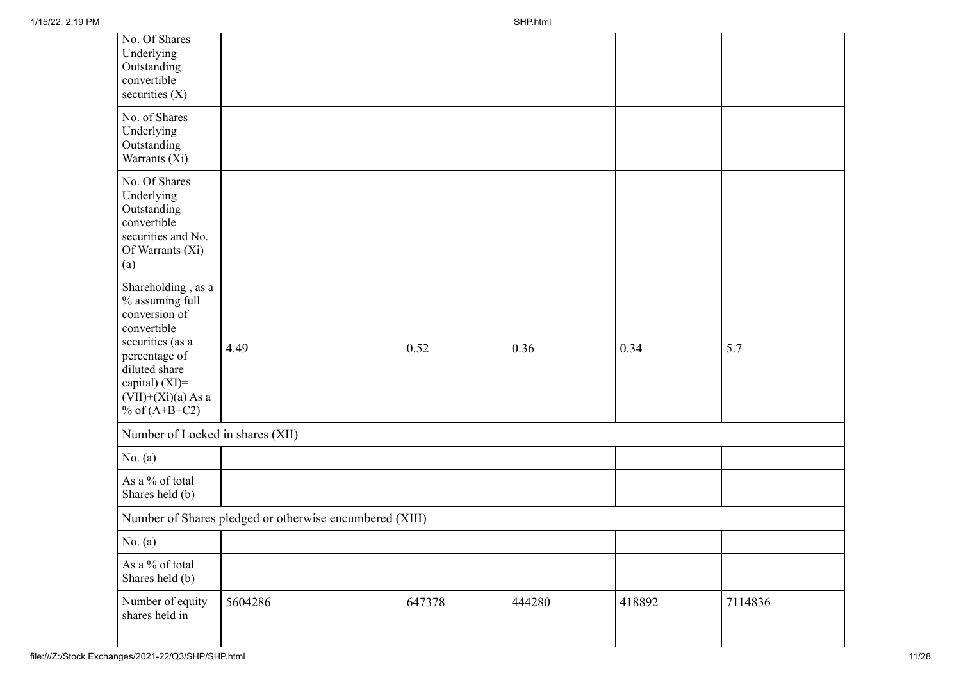| No. Of Shares<br>Underlying<br>Outstanding<br>convertible<br>securities $(X)$                                                                                                            |                                                         |        |        |        |         |
|------------------------------------------------------------------------------------------------------------------------------------------------------------------------------------------|---------------------------------------------------------|--------|--------|--------|---------|
| No. of Shares<br>Underlying<br>Outstanding<br>Warrants (Xi)                                                                                                                              |                                                         |        |        |        |         |
| No. Of Shares<br>Underlying<br>Outstanding<br>convertible<br>securities and No.<br>Of Warrants (Xi)<br>(a)                                                                               |                                                         |        |        |        |         |
| Shareholding, as a<br>% assuming full<br>conversion of<br>convertible<br>securities (as a<br>percentage of<br>diluted share<br>capital) (XI)=<br>$(VII)+(Xi)(a)$ As a<br>% of $(A+B+C2)$ | 4.49                                                    | 0.52   | 0.36   | 0.34   | 5.7     |
| Number of Locked in shares (XII)                                                                                                                                                         |                                                         |        |        |        |         |
| No. (a)                                                                                                                                                                                  |                                                         |        |        |        |         |
| As a % of total<br>Shares held (b)                                                                                                                                                       |                                                         |        |        |        |         |
|                                                                                                                                                                                          | Number of Shares pledged or otherwise encumbered (XIII) |        |        |        |         |
| No. $(a)$                                                                                                                                                                                |                                                         |        |        |        |         |
| As a % of total<br>Shares held (b)                                                                                                                                                       |                                                         |        |        |        |         |
| Number of equity<br>shares held in                                                                                                                                                       | 5604286                                                 | 647378 | 444280 | 418892 | 7114836 |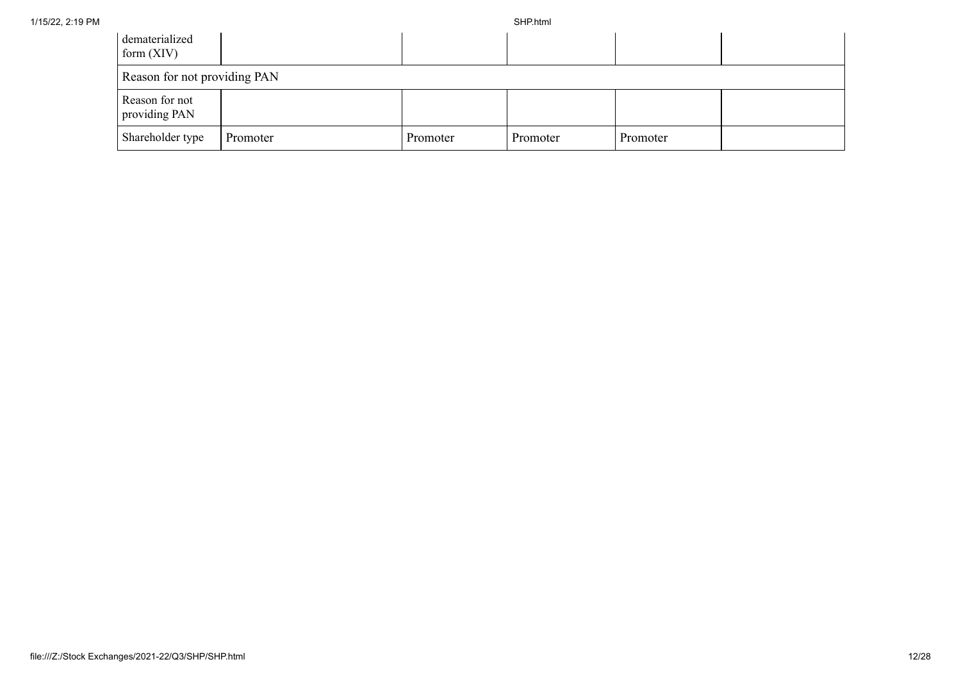| dematerialized<br>form $(XIV)$  |          |          |          |          |  |
|---------------------------------|----------|----------|----------|----------|--|
| Reason for not providing PAN    |          |          |          |          |  |
| Reason for not<br>providing PAN |          |          |          |          |  |
| Shareholder type                | Promoter | Promoter | Promoter | Promoter |  |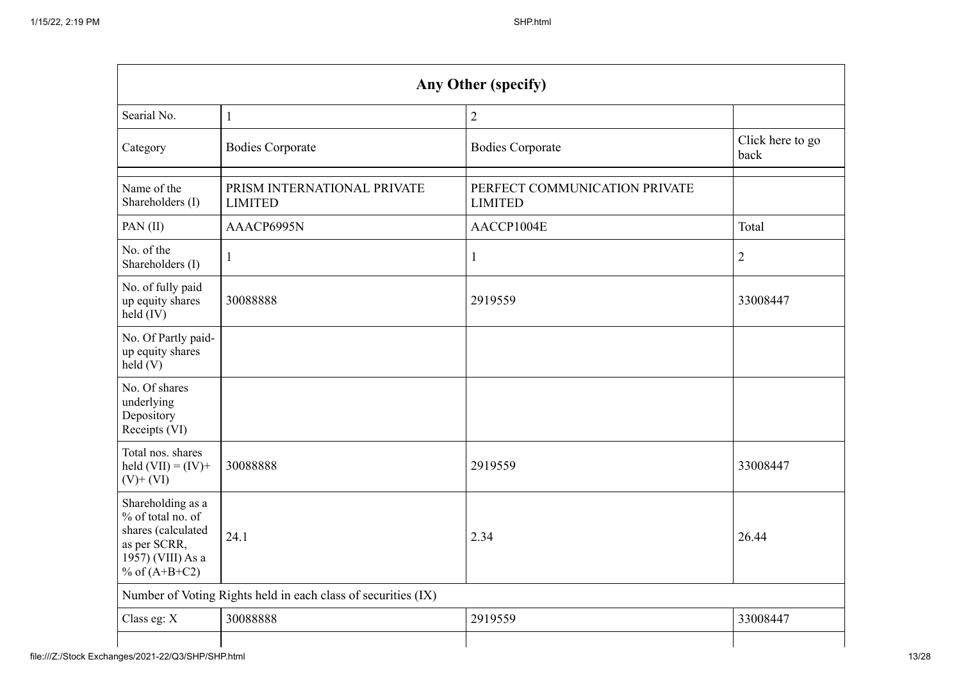|                                                                                                                      | Any Other (specify)                                           |                                                 |                          |  |  |  |
|----------------------------------------------------------------------------------------------------------------------|---------------------------------------------------------------|-------------------------------------------------|--------------------------|--|--|--|
| Searial No.                                                                                                          | $\mathbf{1}$                                                  | $\overline{2}$                                  |                          |  |  |  |
| Category                                                                                                             | <b>Bodies Corporate</b>                                       | <b>Bodies Corporate</b>                         | Click here to go<br>back |  |  |  |
| Name of the<br>Shareholders (I)                                                                                      | PRISM INTERNATIONAL PRIVATE<br><b>LIMITED</b>                 | PERFECT COMMUNICATION PRIVATE<br><b>LIMITED</b> |                          |  |  |  |
| PAN(II)                                                                                                              | AAACP6995N                                                    | AACCP1004E                                      | Total                    |  |  |  |
| No. of the<br>Shareholders (I)                                                                                       | -1                                                            | 1                                               | $\overline{2}$           |  |  |  |
| No. of fully paid<br>up equity shares<br>held (IV)                                                                   | 30088888                                                      | 2919559                                         | 33008447                 |  |  |  |
| No. Of Partly paid-<br>up equity shares<br>$\text{held}(V)$                                                          |                                                               |                                                 |                          |  |  |  |
| No. Of shares<br>underlying<br>Depository<br>Receipts (VI)                                                           |                                                               |                                                 |                          |  |  |  |
| Total nos. shares<br>held $(VII) = (IV) +$<br>$(V)$ + $(VI)$                                                         | 30088888                                                      | 2919559                                         | 33008447                 |  |  |  |
| Shareholding as a<br>% of total no. of<br>shares (calculated<br>as per SCRR,<br>1957) (VIII) As a<br>% of $(A+B+C2)$ | 24.1                                                          | 2.34                                            | 26.44                    |  |  |  |
|                                                                                                                      | Number of Voting Rights held in each class of securities (IX) |                                                 |                          |  |  |  |
| Class eg: X                                                                                                          | 30088888                                                      | 2919559                                         | 33008447                 |  |  |  |
|                                                                                                                      |                                                               |                                                 |                          |  |  |  |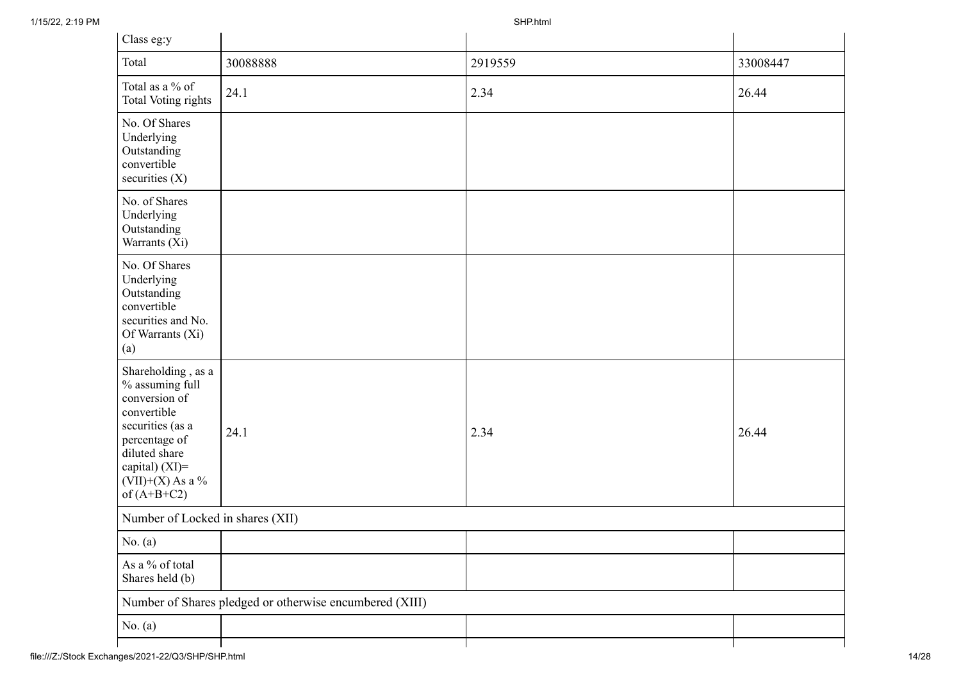| Class eg:y                                                                                                                                                                           |                                                         |         |          |  |  |  |
|--------------------------------------------------------------------------------------------------------------------------------------------------------------------------------------|---------------------------------------------------------|---------|----------|--|--|--|
| Total                                                                                                                                                                                | 30088888                                                | 2919559 | 33008447 |  |  |  |
| Total as a % of<br>Total Voting rights                                                                                                                                               | 24.1                                                    | 2.34    | 26.44    |  |  |  |
| No. Of Shares<br>Underlying<br>Outstanding<br>convertible<br>securities (X)                                                                                                          |                                                         |         |          |  |  |  |
| No. of Shares<br>Underlying<br>Outstanding<br>Warrants (Xi)                                                                                                                          |                                                         |         |          |  |  |  |
| No. Of Shares<br>Underlying<br>Outstanding<br>convertible<br>securities and No.<br>Of Warrants (Xi)<br>(a)                                                                           |                                                         |         |          |  |  |  |
| Shareholding, as a<br>% assuming full<br>conversion of<br>convertible<br>securities (as a<br>percentage of<br>diluted share<br>capital) (XI)=<br>$(VII)+(X)$ As a %<br>of $(A+B+C2)$ | 24.1                                                    | 2.34    | 26.44    |  |  |  |
|                                                                                                                                                                                      | Number of Locked in shares (XII)                        |         |          |  |  |  |
| No. $(a)$                                                                                                                                                                            |                                                         |         |          |  |  |  |
| As a % of total<br>Shares held (b)                                                                                                                                                   |                                                         |         |          |  |  |  |
|                                                                                                                                                                                      | Number of Shares pledged or otherwise encumbered (XIII) |         |          |  |  |  |
| No. $(a)$                                                                                                                                                                            |                                                         |         |          |  |  |  |
|                                                                                                                                                                                      |                                                         |         |          |  |  |  |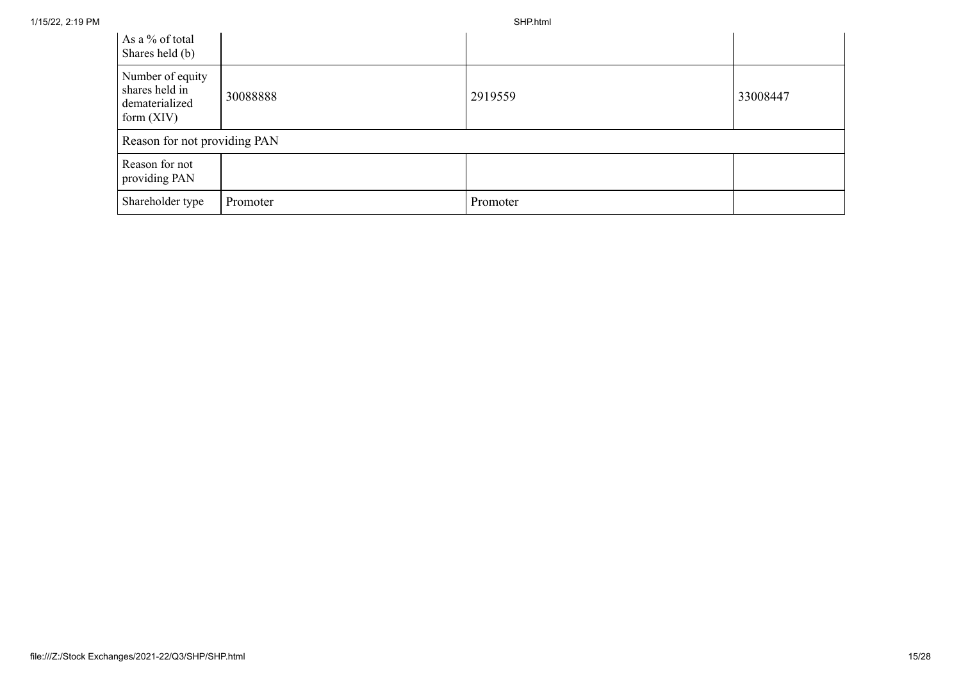| As a % of total<br>Shares held (b)                                   |          |          |          |
|----------------------------------------------------------------------|----------|----------|----------|
| Number of equity<br>shares held in<br>dematerialized<br>form $(XIV)$ | 30088888 | 2919559  | 33008447 |
| Reason for not providing PAN                                         |          |          |          |
| Reason for not<br>providing PAN                                      |          |          |          |
| Shareholder type                                                     | Promoter | Promoter |          |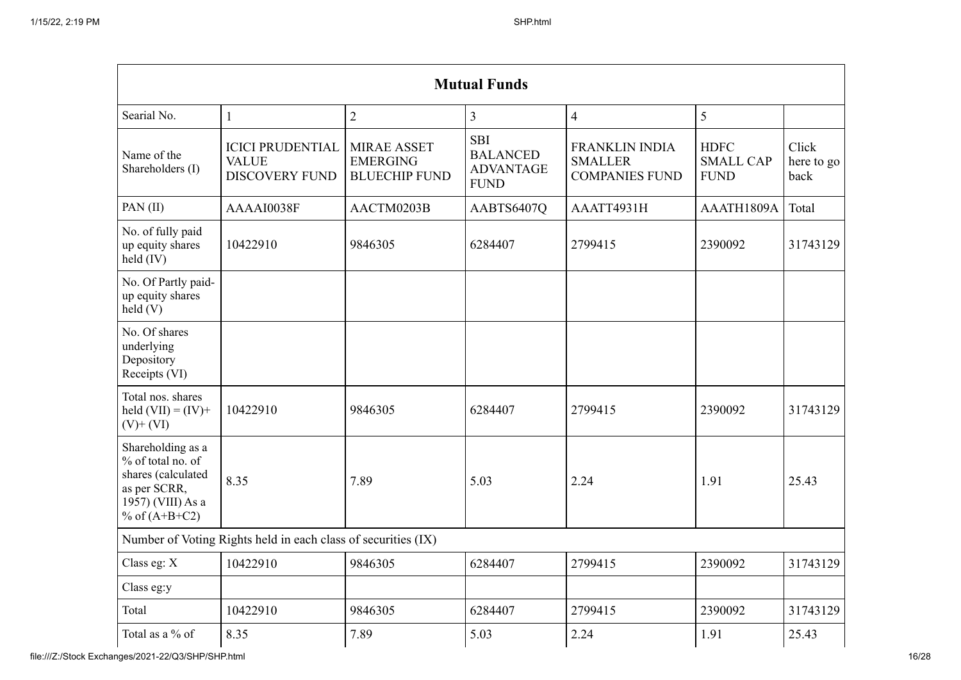|                                                                                                                      |                                                                  |                                                               | <b>Mutual Funds</b>                                              |                                                                  |                                                |                             |
|----------------------------------------------------------------------------------------------------------------------|------------------------------------------------------------------|---------------------------------------------------------------|------------------------------------------------------------------|------------------------------------------------------------------|------------------------------------------------|-----------------------------|
| Searial No.                                                                                                          | $\mathbf{1}$                                                     | $\overline{2}$                                                | 3                                                                | $\overline{4}$                                                   | 5                                              |                             |
| Name of the<br>Shareholders (I)                                                                                      | <b>ICICI PRUDENTIAL</b><br><b>VALUE</b><br><b>DISCOVERY FUND</b> | <b>MIRAE ASSET</b><br><b>EMERGING</b><br><b>BLUECHIP FUND</b> | <b>SBI</b><br><b>BALANCED</b><br><b>ADVANTAGE</b><br><b>FUND</b> | <b>FRANKLIN INDIA</b><br><b>SMALLER</b><br><b>COMPANIES FUND</b> | <b>HDFC</b><br><b>SMALL CAP</b><br><b>FUND</b> | Click<br>here to go<br>back |
| PAN (II)                                                                                                             | AAAAI0038F                                                       | AACTM0203B                                                    | AABTS6407Q                                                       | AAATT4931H                                                       | AAATH1809A                                     | Total                       |
| No. of fully paid<br>up equity shares<br>held (IV)                                                                   | 10422910                                                         | 9846305                                                       | 6284407                                                          | 2799415                                                          | 2390092                                        | 31743129                    |
| No. Of Partly paid-<br>up equity shares<br>held(V)                                                                   |                                                                  |                                                               |                                                                  |                                                                  |                                                |                             |
| No. Of shares<br>underlying<br>Depository<br>Receipts (VI)                                                           |                                                                  |                                                               |                                                                  |                                                                  |                                                |                             |
| Total nos. shares<br>held $(VII) = (IV) +$<br>$(V)$ + $(VI)$                                                         | 10422910                                                         | 9846305                                                       | 6284407                                                          | 2799415                                                          | 2390092                                        | 31743129                    |
| Shareholding as a<br>% of total no. of<br>shares (calculated<br>as per SCRR,<br>1957) (VIII) As a<br>% of $(A+B+C2)$ | 8.35                                                             | 7.89                                                          | 5.03                                                             | 2.24                                                             | 1.91                                           | 25.43                       |
|                                                                                                                      | Number of Voting Rights held in each class of securities (IX)    |                                                               |                                                                  |                                                                  |                                                |                             |
| Class eg: X                                                                                                          | 10422910                                                         | 9846305                                                       | 6284407                                                          | 2799415                                                          | 2390092                                        | 31743129                    |
| Class eg:y                                                                                                           |                                                                  |                                                               |                                                                  |                                                                  |                                                |                             |
| Total                                                                                                                | 10422910                                                         | 9846305                                                       | 6284407                                                          | 2799415                                                          | 2390092                                        | 31743129                    |
| Total as a % of                                                                                                      | 8.35                                                             | 7.89                                                          | 5.03                                                             | 2.24                                                             | 1.91                                           | 25.43                       |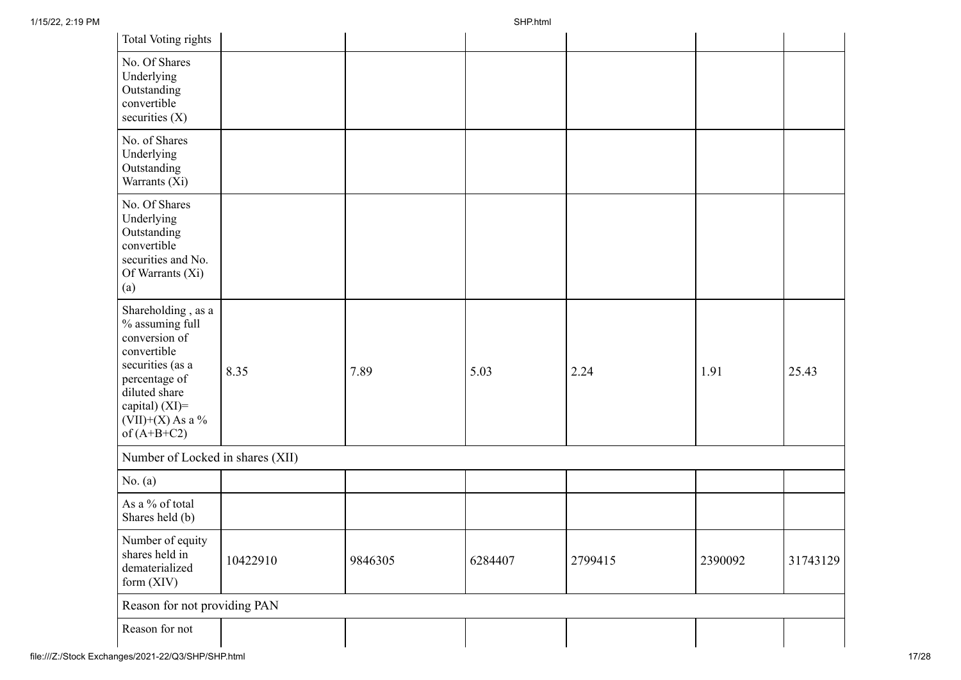| Total Voting rights                                                                                                                                                                  |          |         |         |         |         |          |
|--------------------------------------------------------------------------------------------------------------------------------------------------------------------------------------|----------|---------|---------|---------|---------|----------|
| No. Of Shares<br>Underlying<br>Outstanding<br>convertible<br>securities $(X)$                                                                                                        |          |         |         |         |         |          |
| No. of Shares<br>Underlying<br>Outstanding<br>Warrants (Xi)                                                                                                                          |          |         |         |         |         |          |
| No. Of Shares<br>Underlying<br>Outstanding<br>convertible<br>securities and No.<br>Of Warrants (Xi)<br>(a)                                                                           |          |         |         |         |         |          |
| Shareholding, as a<br>% assuming full<br>conversion of<br>convertible<br>securities (as a<br>percentage of<br>diluted share<br>capital) (XI)=<br>$(VII)+(X)$ As a %<br>of $(A+B+C2)$ | 8.35     | 7.89    | 5.03    | 2.24    | 1.91    | 25.43    |
| Number of Locked in shares (XII)                                                                                                                                                     |          |         |         |         |         |          |
| No. $(a)$                                                                                                                                                                            |          |         |         |         |         |          |
| As a % of total<br>Shares held (b)                                                                                                                                                   |          |         |         |         |         |          |
| Number of equity<br>shares held in<br>dematerialized<br>form (XIV)                                                                                                                   | 10422910 | 9846305 | 6284407 | 2799415 | 2390092 | 31743129 |
| Reason for not providing PAN                                                                                                                                                         |          |         |         |         |         |          |
| Reason for not                                                                                                                                                                       |          |         |         |         |         |          |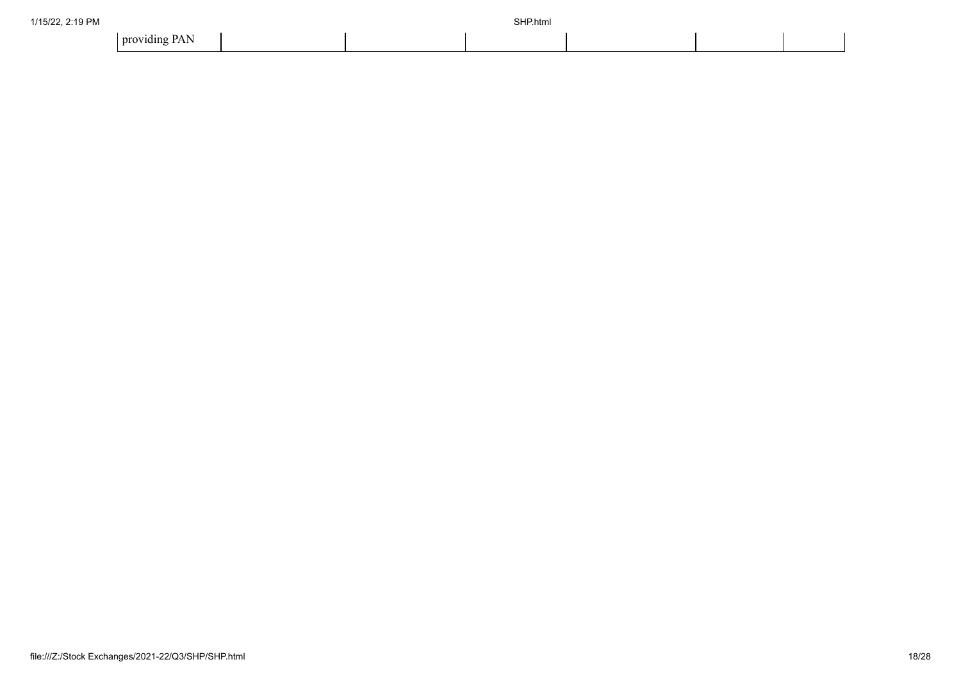| 1/15/22, 2:19 PM |               |  | SHP.html |  |  |
|------------------|---------------|--|----------|--|--|
|                  | providing PAN |  |          |  |  |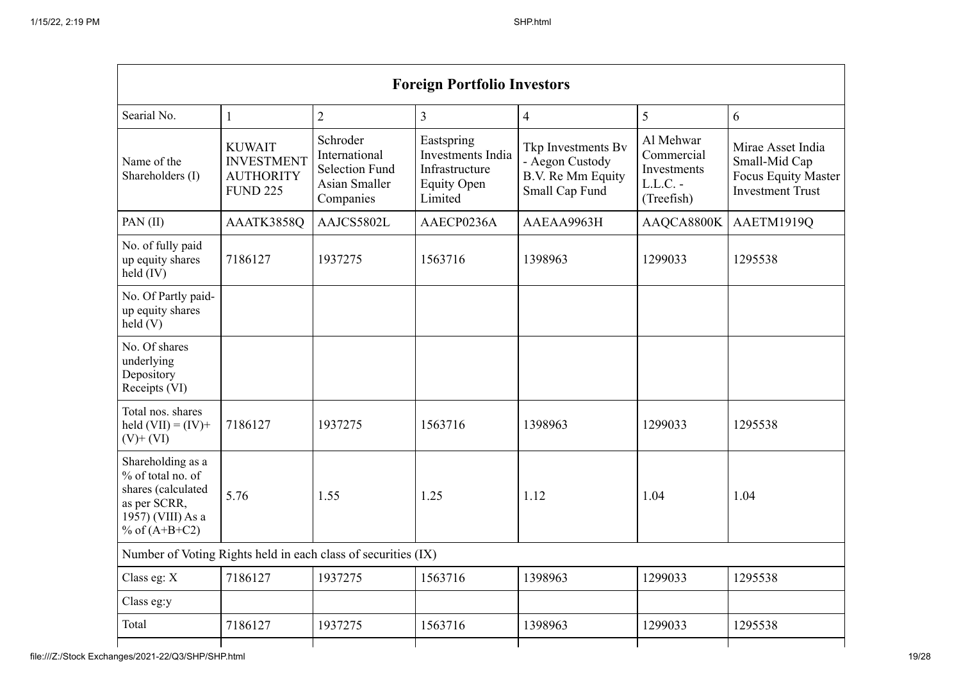|                                                                                                                      | <b>Foreign Portfolio Investors</b>                                        |                                                                                  |                                                                                    |                                                                              |                                                                    |                                                                                             |
|----------------------------------------------------------------------------------------------------------------------|---------------------------------------------------------------------------|----------------------------------------------------------------------------------|------------------------------------------------------------------------------------|------------------------------------------------------------------------------|--------------------------------------------------------------------|---------------------------------------------------------------------------------------------|
| Searial No.                                                                                                          | $\mathbf{1}$                                                              | $\overline{2}$                                                                   | $\overline{3}$                                                                     | $\overline{4}$                                                               | 5                                                                  | 6                                                                                           |
| Name of the<br>Shareholders (I)                                                                                      | <b>KUWAIT</b><br><b>INVESTMENT</b><br><b>AUTHORITY</b><br><b>FUND 225</b> | Schroder<br>International<br><b>Selection Fund</b><br>Asian Smaller<br>Companies | Eastspring<br>Investments India<br>Infrastructure<br><b>Equity Open</b><br>Limited | Tkp Investments Bv<br>- Aegon Custody<br>B.V. Re Mm Equity<br>Small Cap Fund | Al Mehwar<br>Commercial<br>Investments<br>$L.L.C. -$<br>(Treefish) | Mirae Asset India<br>Small-Mid Cap<br><b>Focus Equity Master</b><br><b>Investment Trust</b> |
| PAN(II)                                                                                                              | AAATK3858Q                                                                | AAJCS5802L                                                                       | AAECP0236A                                                                         | AAEAA9963H                                                                   | AAQCA8800K                                                         | AAETM1919Q                                                                                  |
| No. of fully paid<br>up equity shares<br>held (IV)                                                                   | 7186127                                                                   | 1937275                                                                          | 1563716                                                                            | 1398963                                                                      | 1299033                                                            | 1295538                                                                                     |
| No. Of Partly paid-<br>up equity shares<br>$\text{held}(V)$                                                          |                                                                           |                                                                                  |                                                                                    |                                                                              |                                                                    |                                                                                             |
| No. Of shares<br>underlying<br>Depository<br>Receipts (VI)                                                           |                                                                           |                                                                                  |                                                                                    |                                                                              |                                                                    |                                                                                             |
| Total nos. shares<br>held $(VII) = (IV) +$<br>$(V)$ + $(VI)$                                                         | 7186127                                                                   | 1937275                                                                          | 1563716                                                                            | 1398963                                                                      | 1299033                                                            | 1295538                                                                                     |
| Shareholding as a<br>% of total no. of<br>shares (calculated<br>as per SCRR,<br>1957) (VIII) As a<br>% of $(A+B+C2)$ | 5.76                                                                      | 1.55                                                                             | 1.25                                                                               | 1.12                                                                         | 1.04                                                               | 1.04                                                                                        |
| Number of Voting Rights held in each class of securities (IX)                                                        |                                                                           |                                                                                  |                                                                                    |                                                                              |                                                                    |                                                                                             |
| Class eg: $X$                                                                                                        | 7186127                                                                   | 1937275                                                                          | 1563716                                                                            | 1398963                                                                      | 1299033                                                            | 1295538                                                                                     |
| Class eg:y                                                                                                           |                                                                           |                                                                                  |                                                                                    |                                                                              |                                                                    |                                                                                             |
| Total                                                                                                                | 7186127                                                                   | 1937275                                                                          | 1563716                                                                            | 1398963                                                                      | 1299033                                                            | 1295538                                                                                     |
|                                                                                                                      |                                                                           |                                                                                  |                                                                                    |                                                                              |                                                                    |                                                                                             |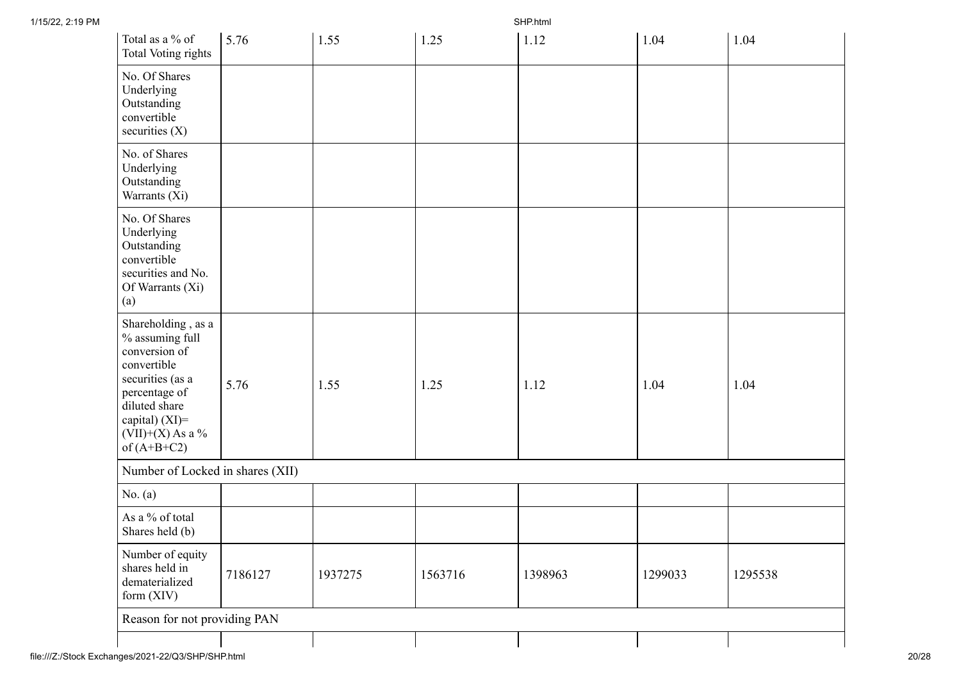| Total as a % of<br><b>Total Voting rights</b>                                                                                                                                        | 5.76    | 1.55    | 1.25    | 1.12    | 1.04    | 1.04    |
|--------------------------------------------------------------------------------------------------------------------------------------------------------------------------------------|---------|---------|---------|---------|---------|---------|
| No. Of Shares<br>Underlying<br>Outstanding<br>convertible<br>securities $(X)$                                                                                                        |         |         |         |         |         |         |
| No. of Shares<br>Underlying<br>Outstanding<br>Warrants (Xi)                                                                                                                          |         |         |         |         |         |         |
| No. Of Shares<br>Underlying<br>Outstanding<br>convertible<br>securities and No.<br>Of Warrants (Xi)<br>(a)                                                                           |         |         |         |         |         |         |
| Shareholding, as a<br>% assuming full<br>conversion of<br>convertible<br>securities (as a<br>percentage of<br>diluted share<br>capital) (XI)=<br>$(VII)+(X)$ As a %<br>of $(A+B+C2)$ | 5.76    | 1.55    | 1.25    | 1.12    | 1.04    | 1.04    |
| Number of Locked in shares (XII)                                                                                                                                                     |         |         |         |         |         |         |
| No. $(a)$                                                                                                                                                                            |         |         |         |         |         |         |
| As a % of total<br>Shares held (b)                                                                                                                                                   |         |         |         |         |         |         |
| Number of equity<br>shares held in<br>dematerialized<br>form (XIV)                                                                                                                   | 7186127 | 1937275 | 1563716 | 1398963 | 1299033 | 1295538 |
| Reason for not providing PAN                                                                                                                                                         |         |         |         |         |         |         |
|                                                                                                                                                                                      |         |         |         |         |         |         |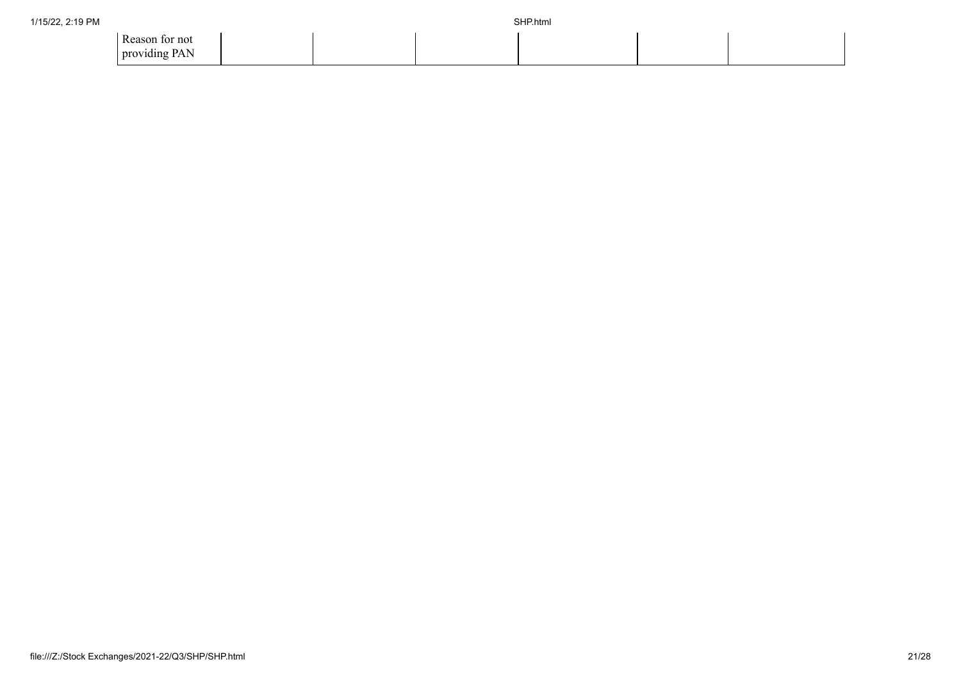| 1/15/22, 2:19 PM |                                 |  | SHP.html |  |
|------------------|---------------------------------|--|----------|--|
|                  | Reason for not<br>providing PAN |  |          |  |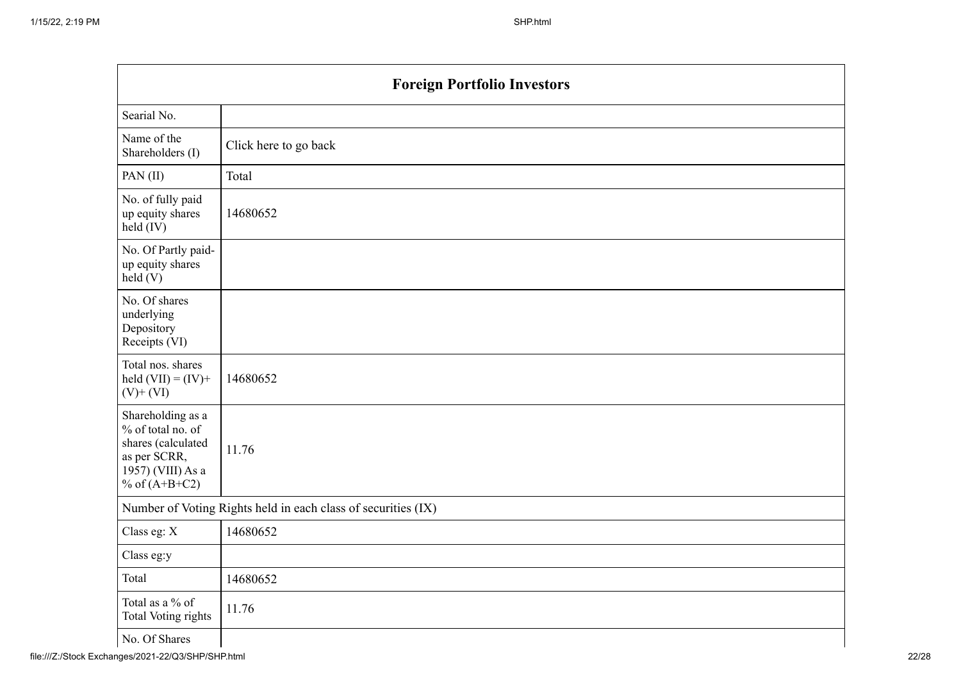|                                                                                                                      | <b>Foreign Portfolio Investors</b>                            |  |  |  |  |
|----------------------------------------------------------------------------------------------------------------------|---------------------------------------------------------------|--|--|--|--|
| Searial No.                                                                                                          |                                                               |  |  |  |  |
| Name of the<br>Shareholders (I)                                                                                      | Click here to go back                                         |  |  |  |  |
| PAN(II)                                                                                                              | Total                                                         |  |  |  |  |
| No. of fully paid<br>up equity shares<br>held (IV)                                                                   | 14680652                                                      |  |  |  |  |
| No. Of Partly paid-<br>up equity shares<br>held(V)                                                                   |                                                               |  |  |  |  |
| No. Of shares<br>underlying<br>Depository<br>Receipts (VI)                                                           |                                                               |  |  |  |  |
| Total nos. shares<br>held $(VII) = (IV) +$<br>$(V)$ + $(VI)$                                                         | 14680652                                                      |  |  |  |  |
| Shareholding as a<br>% of total no. of<br>shares (calculated<br>as per SCRR,<br>1957) (VIII) As a<br>% of $(A+B+C2)$ | 11.76                                                         |  |  |  |  |
|                                                                                                                      | Number of Voting Rights held in each class of securities (IX) |  |  |  |  |
| Class eg: X                                                                                                          | 14680652                                                      |  |  |  |  |
| Class eg:y                                                                                                           |                                                               |  |  |  |  |
| Total                                                                                                                | 14680652                                                      |  |  |  |  |
| Total as a % of<br>Total Voting rights                                                                               | 11.76                                                         |  |  |  |  |
| No. Of Shares                                                                                                        |                                                               |  |  |  |  |

No. Of Shares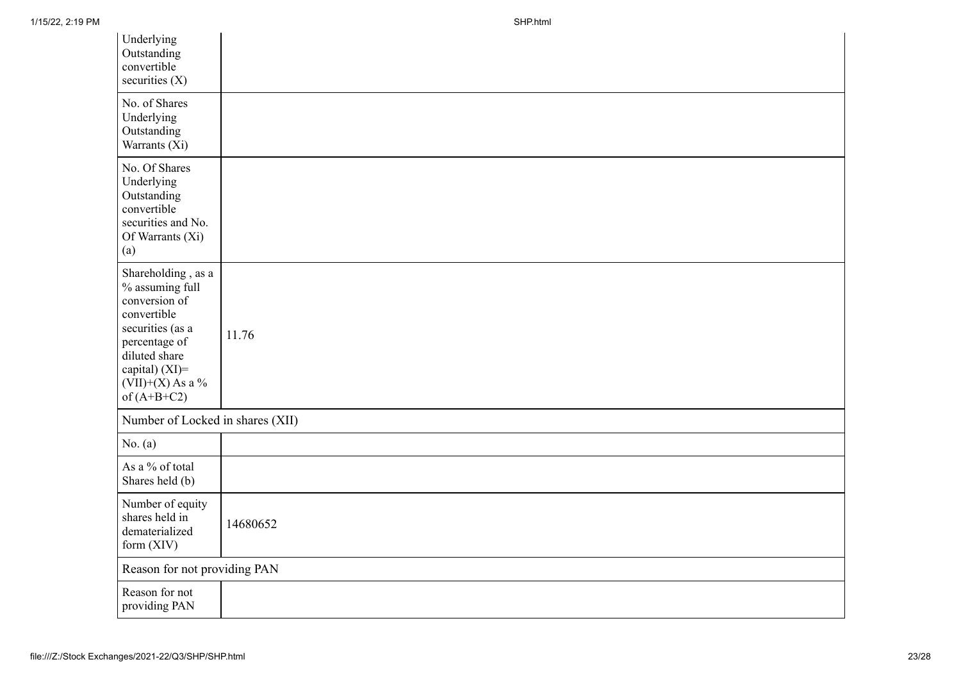| Underlying<br>Outstanding<br>convertible<br>securities $(X)$                                                                                                                         |          |
|--------------------------------------------------------------------------------------------------------------------------------------------------------------------------------------|----------|
| No. of Shares<br>Underlying<br>Outstanding<br>Warrants (Xi)                                                                                                                          |          |
| No. Of Shares<br>Underlying<br>Outstanding<br>convertible<br>securities and No.<br>Of Warrants (Xi)<br>(a)                                                                           |          |
| Shareholding, as a<br>% assuming full<br>conversion of<br>convertible<br>securities (as a<br>percentage of<br>diluted share<br>capital) (XI)=<br>$(VII)+(X)$ As a %<br>of $(A+B+C2)$ | 11.76    |
| Number of Locked in shares (XII)                                                                                                                                                     |          |
| No. (a)                                                                                                                                                                              |          |
| As a % of total<br>Shares held (b)                                                                                                                                                   |          |
| Number of equity<br>shares held in<br>dematerialized<br>form (XIV)                                                                                                                   | 14680652 |
| Reason for not providing PAN                                                                                                                                                         |          |
| Reason for not<br>providing PAN                                                                                                                                                      |          |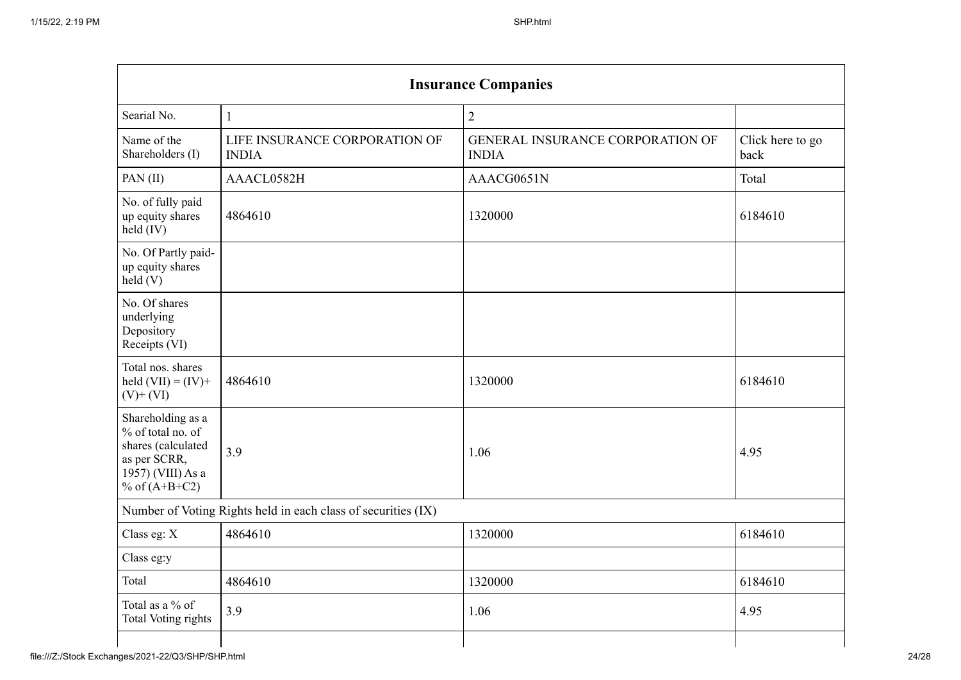| <b>Insurance Companies</b>                                    |                                                  |                          |  |  |
|---------------------------------------------------------------|--------------------------------------------------|--------------------------|--|--|
| $\mathbf{1}$                                                  | $\overline{2}$                                   |                          |  |  |
| LIFE INSURANCE CORPORATION OF<br><b>INDIA</b>                 | GENERAL INSURANCE CORPORATION OF<br><b>INDIA</b> | Click here to go<br>back |  |  |
| AAACL0582H                                                    | AAACG0651N                                       | Total                    |  |  |
| 4864610                                                       | 1320000                                          | 6184610                  |  |  |
|                                                               |                                                  |                          |  |  |
|                                                               |                                                  |                          |  |  |
| 4864610                                                       | 1320000                                          | 6184610                  |  |  |
| 3.9                                                           | 1.06                                             | 4.95                     |  |  |
| Number of Voting Rights held in each class of securities (IX) |                                                  |                          |  |  |
| 4864610                                                       | 1320000                                          | 6184610                  |  |  |
|                                                               |                                                  |                          |  |  |
| 4864610                                                       | 1320000                                          | 6184610                  |  |  |
| 3.9                                                           | 1.06                                             | 4.95                     |  |  |
|                                                               |                                                  |                          |  |  |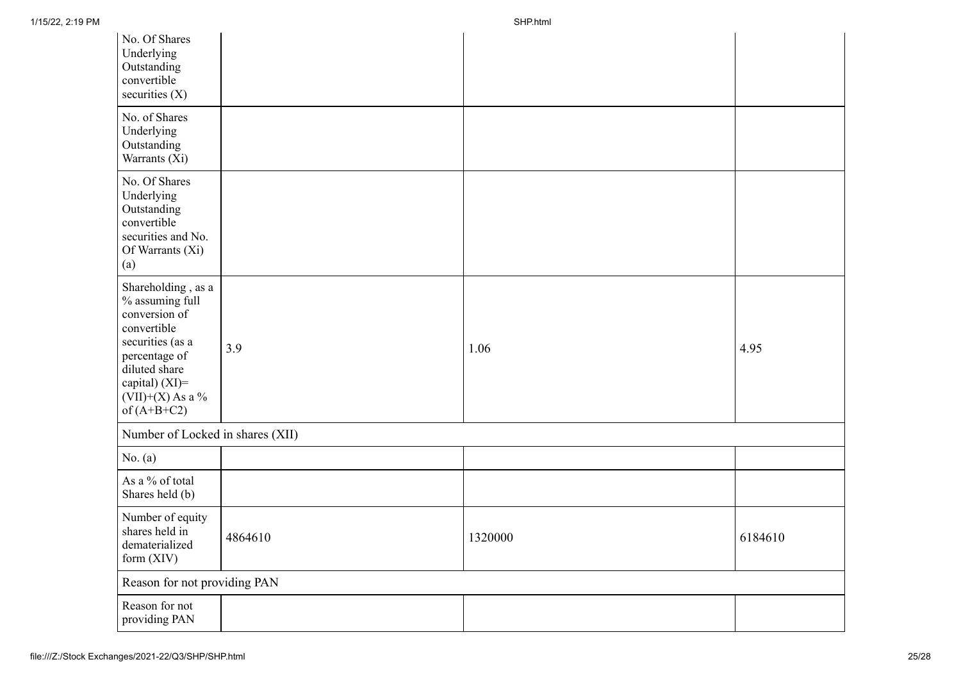| No. Of Shares<br>Underlying<br>Outstanding<br>convertible<br>securities $(X)$                                                                                                        |         |         |         |  |
|--------------------------------------------------------------------------------------------------------------------------------------------------------------------------------------|---------|---------|---------|--|
| No. of Shares<br>Underlying<br>Outstanding<br>Warrants (Xi)                                                                                                                          |         |         |         |  |
| No. Of Shares<br>Underlying<br>Outstanding<br>convertible<br>securities and No.<br>Of Warrants (Xi)<br>(a)                                                                           |         |         |         |  |
| Shareholding, as a<br>% assuming full<br>conversion of<br>convertible<br>securities (as a<br>percentage of<br>diluted share<br>capital) (XI)=<br>$(VII)+(X)$ As a %<br>of $(A+B+C2)$ | 3.9     | 1.06    | 4.95    |  |
| Number of Locked in shares (XII)                                                                                                                                                     |         |         |         |  |
| No. $(a)$                                                                                                                                                                            |         |         |         |  |
| As a % of total<br>Shares held (b)                                                                                                                                                   |         |         |         |  |
| Number of equity<br>shares held in<br>dematerialized<br>form $(XIV)$                                                                                                                 | 4864610 | 1320000 | 6184610 |  |
| Reason for not providing PAN                                                                                                                                                         |         |         |         |  |
| Reason for not<br>providing PAN                                                                                                                                                      |         |         |         |  |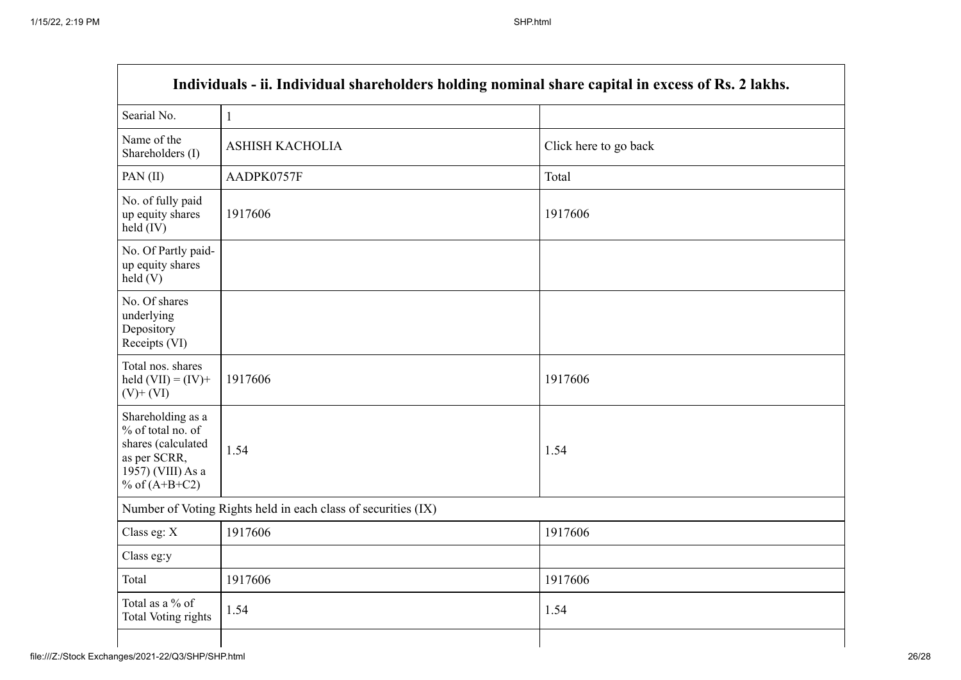$\mathbf{r}$ 

| Individuals - ii. Individual shareholders holding nominal share capital in excess of Rs. 2 lakhs.                    |                        |                       |  |  |
|----------------------------------------------------------------------------------------------------------------------|------------------------|-----------------------|--|--|
| Searial No.                                                                                                          | $\mathbf{1}$           |                       |  |  |
| Name of the<br>Shareholders (I)                                                                                      | <b>ASHISH KACHOLIA</b> | Click here to go back |  |  |
| PAN(II)                                                                                                              | AADPK0757F             | Total                 |  |  |
| No. of fully paid<br>up equity shares<br>held (IV)                                                                   | 1917606                | 1917606               |  |  |
| No. Of Partly paid-<br>up equity shares<br>held(V)                                                                   |                        |                       |  |  |
| No. Of shares<br>underlying<br>Depository<br>Receipts (VI)                                                           |                        |                       |  |  |
| Total nos. shares<br>held $(VII) = (IV) +$<br>$(V)$ + $(VI)$                                                         | 1917606                | 1917606               |  |  |
| Shareholding as a<br>% of total no. of<br>shares (calculated<br>as per SCRR,<br>1957) (VIII) As a<br>% of $(A+B+C2)$ | 1.54                   | 1.54                  |  |  |
| Number of Voting Rights held in each class of securities (IX)                                                        |                        |                       |  |  |
| Class eg: X                                                                                                          | 1917606                | 1917606               |  |  |
| Class eg:y                                                                                                           |                        |                       |  |  |
| Total                                                                                                                | 1917606                | 1917606               |  |  |
| Total as a % of<br><b>Total Voting rights</b>                                                                        | 1.54                   | 1.54                  |  |  |
|                                                                                                                      |                        |                       |  |  |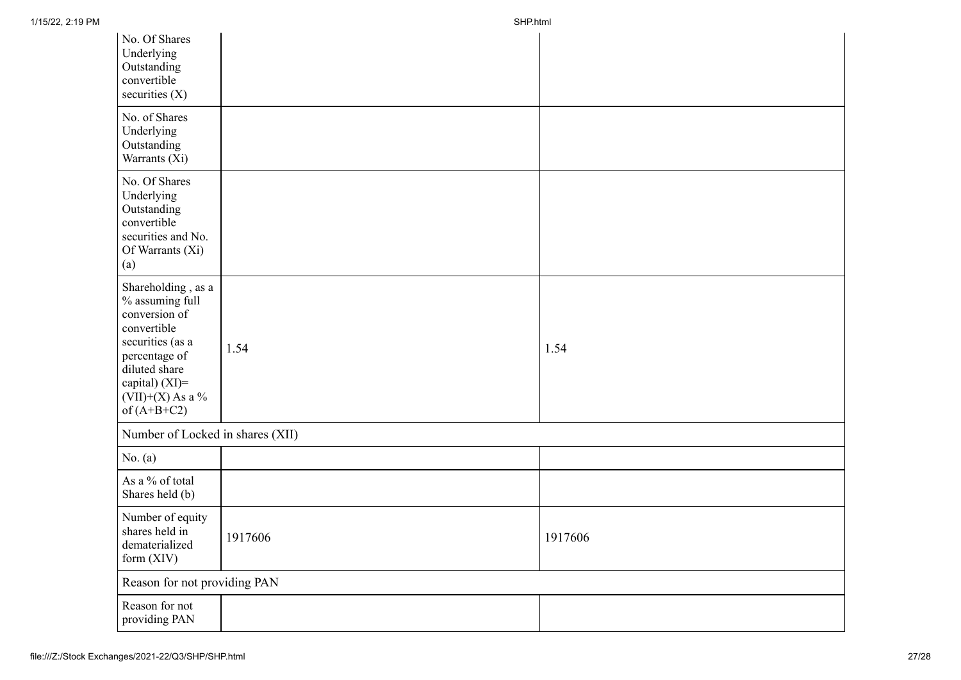| No. Of Shares<br>Underlying<br>Outstanding<br>convertible<br>securities $(X)$                                                                                                           |         |         |  |  |
|-----------------------------------------------------------------------------------------------------------------------------------------------------------------------------------------|---------|---------|--|--|
| No. of Shares<br>Underlying<br>Outstanding<br>Warrants (Xi)                                                                                                                             |         |         |  |  |
| No. Of Shares<br>Underlying<br>Outstanding<br>convertible<br>securities and No.<br>Of Warrants (Xi)<br>(a)                                                                              |         |         |  |  |
| Shareholding, as a<br>$\%$ assuming full<br>conversion of<br>convertible<br>securities (as a<br>percentage of<br>diluted share<br>capital) (XI)=<br>$(VII)+(X)$ As a %<br>of $(A+B+C2)$ | 1.54    | 1.54    |  |  |
| Number of Locked in shares (XII)                                                                                                                                                        |         |         |  |  |
| No. $(a)$                                                                                                                                                                               |         |         |  |  |
| As a % of total<br>Shares held (b)                                                                                                                                                      |         |         |  |  |
| Number of equity<br>shares held in<br>dematerialized<br>form (XIV)                                                                                                                      | 1917606 | 1917606 |  |  |
| Reason for not providing PAN                                                                                                                                                            |         |         |  |  |
| Reason for not<br>providing PAN                                                                                                                                                         |         |         |  |  |